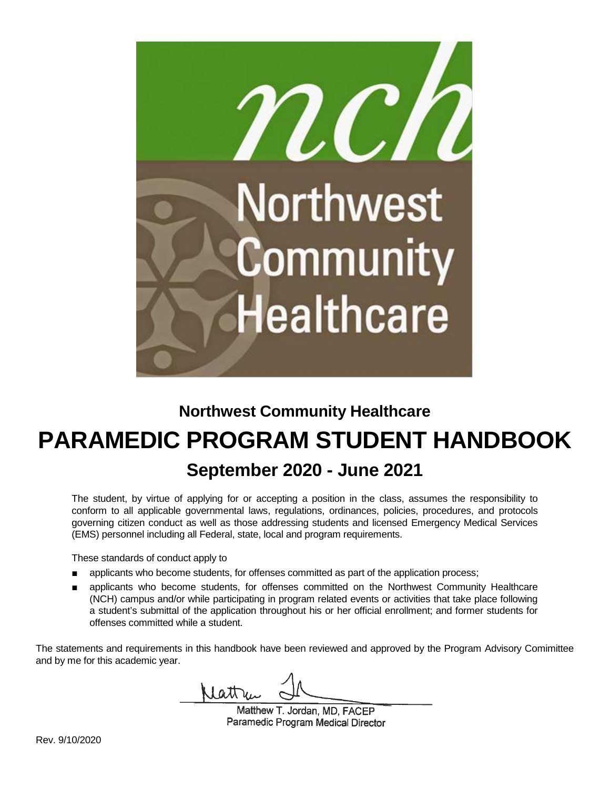

# **Northwest Community Healthcare PARAMEDIC PROGRAM STUDENT HANDBOOK September 2020 - June 2021**

The student, by virtue of applying for or accepting a position in the class, assumes the responsibility to conform to all applicable governmental laws, regulations, ordinances, policies, procedures, and protocols governing citizen conduct as well as those addressing students and licensed Emergency Medical Services (EMS) personnel including all Federal, state, local and program requirements.

These standards of conduct apply to

- applicants who become students, for offenses committed as part of the application process;
- applicants who become students, for offenses committed on the Northwest Community Healthcare (NCH) campus and/or while participating in program related events or activities that take place following a student's submittal of the application throughout his or her official enrollment; and former students for offenses committed while a student.

The statements and requirements in this handbook have been reviewed and approved by the Program Advisory Comimittee and by me for this academic year.

lattre

Matthew T. Jordan, MD. FACEP Paramedic Program Medical Director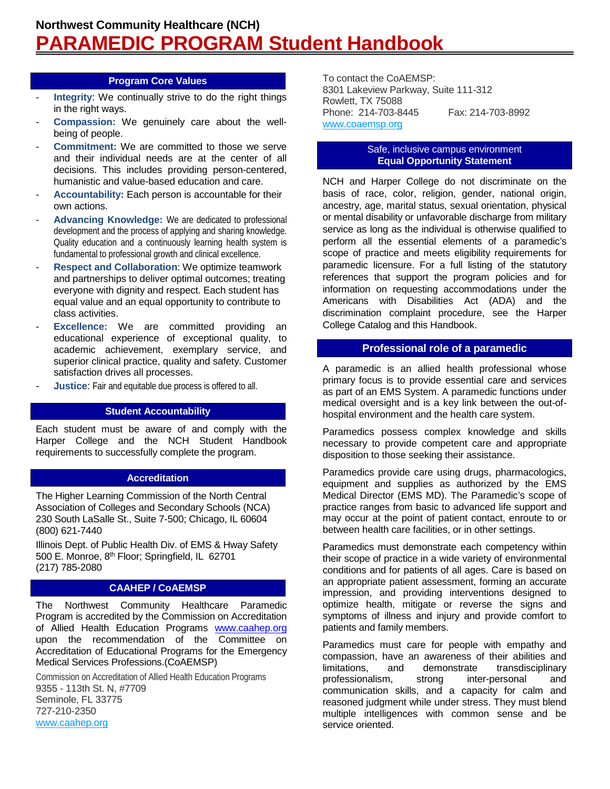#### **Program Core Values**

- **Integrity:** We continually strive to do the right things in the right ways.
- **Compassion:** We genuinely care about the wellbeing of people.
- **Commitment:** We are committed to those we serve and their individual needs are at the center of all decisions. This includes providing person-centered, humanistic and value-based education and care.
- Accountability: Each person is accountable for their own actions.
- Advancing Knowledge: We are dedicated to professional development and the process of applying and sharing knowledge. Quality education and a continuously learning health system is fundamental to professional growth and clinical excellence.
- **Respect and Collaboration**: We optimize teamwork and partnerships to deliver optimal outcomes; treating everyone with dignity and respect. Each student has equal value and an equal opportunity to contribute to class activities.
- **Excellence:** We are committed providing an educational experience of exceptional quality, to academic achievement, exemplary service, and superior clinical practice, quality and safety. Customer satisfaction drives all processes.
- **Justice:** Fair and equitable due process is offered to all.

# **Student Accountability**

Each student must be aware of and comply with the Harper College and the NCH Student Handbook requirements to successfully complete the program.

# **Accreditation**

The Higher Learning Commission of the North Central Association of Colleges and Secondary Schools (NCA) 230 South LaSalle St., Suite 7-500; Chicago, IL 60604 (800) 621-7440

Illinois Dept. of Public Health Div. of EMS & Hway Safety 500 E. Monroe, 8th Floor; Springfield, IL 62701 (217) 785-2080

# **CAAHEP / CoAEMSP**

The Northwest Community Healthcare Paramedic Program is accredited by the Commission on Accreditation of Allied Health Education Programs [www.caahep.org](http://www.caahep.org/) upon the recommendation of the Committee on Accreditation of Educational Programs for the Emergency Medical Services Professions.(CoAEMSP)

Commission on Accreditation of Allied Health Education Programs 9355 - 113th St. N, #7709 Seminole, FL 33775 727-210-2350 [www.caahep.org](http://r20.rs6.net/tn.jsp?f=001a-nas9N64XkOC-6-50FKWbrGPJabHBpc2px5h9OQcr6mBr-0FNMfbFKkp229PY8XpVR6sEHQCBr55D2j9DrGkNGnqHuWlRg6LqoM8OuWoIkLRsE0udlIS_NsCuo0KDqz3s3DY5tA_g1SSm9Vo0EJUg==&c=GVZnfHSf5m2a2VZXaB0QFj4t4NCMvlThHe4_V1g_vhB-Jbb_i29MjQ==&ch=BwduFZTPgMJOCRPKPVo7_lH5Vh56WAzmSN7lNP0FYWl3AS5AilPUOQ==)

To contact the CoAEMSP: 8301 Lakeview Parkway, Suite 111-312 Rowlett, TX 75088 Phone: 214-703-8445 Fax: 214-703-8992 [www.coaemsp.org](http://r20.rs6.net/tn.jsp?f=001a-nas9N64XkOC-6-50FKWbrGPJabHBpc2px5h9OQcr6mBr-0FNMfbI-Gf2C-WEY1D1UNmj3ugGo7FXmy4MkDyBHntqRIjhLV4kfcsvK-38O-waMu3AbMDauBCvB7IA0dcubR5bHyOHWkiwEaR8zV1A==&c=GVZnfHSf5m2a2VZXaB0QFj4t4NCMvlThHe4_V1g_vhB-Jbb_i29MjQ==&ch=BwduFZTPgMJOCRPKPVo7_lH5Vh56WAzmSN7lNP0FYWl3AS5AilPUOQ==)

#### Safe, inclusive campus environment **Equal Opportunity Statement**

NCH and Harper College do not discriminate on the basis of race, color, religion, gender, national origin, ancestry, age, marital status, sexual orientation, physical or mental disability or unfavorable discharge from military service as long as the individual is otherwise qualified to perform all the essential elements of a paramedic's scope of practice and meets eligibility requirements for paramedic licensure. For a full listing of the statutory references that support the program policies and for information on requesting accommodations under the Americans with Disabilities Act (ADA) and the discrimination complaint procedure, see the Harper College Catalog and this Handbook.

# **Professional role of a paramedic**

A paramedic is an allied health professional whose primary focus is to provide essential care and services as part of an EMS System. A paramedic functions under medical oversight and is a key link between the out-ofhospital environment and the health care system.

Paramedics possess complex knowledge and skills necessary to provide competent care and appropriate disposition to those seeking their assistance.

Paramedics provide care using drugs, pharmacologics, equipment and supplies as authorized by the EMS Medical Director (EMS MD). The Paramedic's scope of practice ranges from basic to advanced life support and may occur at the point of patient contact, enroute to or between health care facilities, or in other settings.

Paramedics must demonstrate each competency within their scope of practice in a wide variety of environmental conditions and for patients of all ages. Care is based on an appropriate patient assessment, forming an accurate impression, and providing interventions designed to optimize health, mitigate or reverse the signs and symptoms of illness and injury and provide comfort to patients and family members.

Paramedics must care for people with empathy and compassion, have an awareness of their abilities and limitations, and demonstrate transdisciplinary professionalism, strong inter-personal and communication skills, and a capacity for calm and reasoned judgment while under stress. They must blend multiple intelligences with common sense and be service oriented.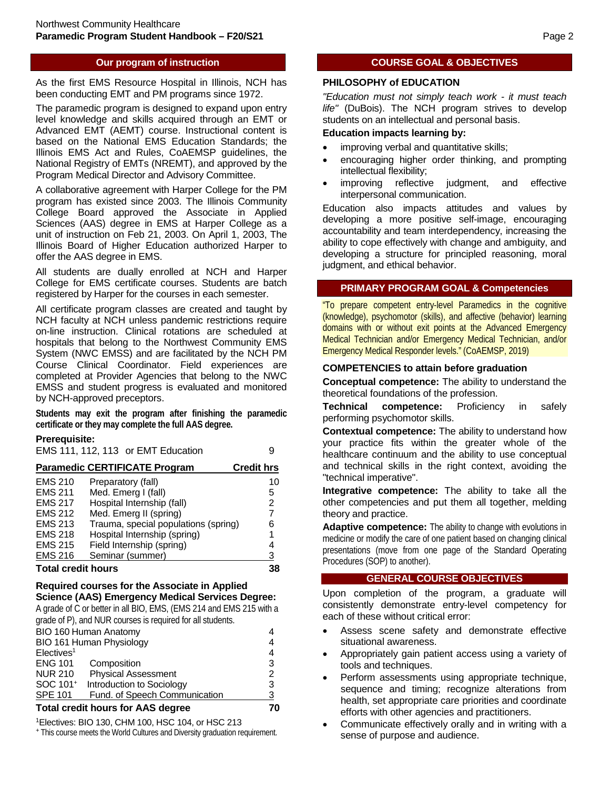# **Our program of instruction**

As the first EMS Resource Hospital in Illinois, NCH has been conducting EMT and PM programs since 1972.

The paramedic program is designed to expand upon entry level knowledge and skills acquired through an EMT or Advanced EMT (AEMT) course. Instructional content is based on the National EMS Education Standards; the Illinois EMS Act and Rules, CoAEMSP guidelines, the National Registry of EMTs (NREMT), and approved by the Program Medical Director and Advisory Committee.

A collaborative agreement with Harper College for the PM program has existed since 2003. The Illinois Community College Board approved the Associate in Applied Sciences (AAS) degree in EMS at Harper College as a unit of instruction on Feb 21, 2003. On April 1, 2003, The Illinois Board of Higher Education authorized Harper to offer the AAS degree in EMS.

All students are dually enrolled at NCH and Harper College for EMS certificate courses. Students are batch registered by Harper for the courses in each semester.

All certificate program classes are created and taught by NCH faculty at NCH unless pandemic restrictions require on-line instruction. Clinical rotations are scheduled at hospitals that belong to the Northwest Community EMS System (NWC EMSS) and are facilitated by the NCH PM Course Clinical Coordinator. Field experiences are completed at Provider Agencies that belong to the NWC EMSS and student progress is evaluated and monitored by NCH-approved preceptors.

**Students may exit the program after finishing the paramedic certificate or they may complete the full AAS degree.** 

#### **Prerequisite:**

|                                                           | EMS 111, 112, 113 or EMT Education   |    |  |  |
|-----------------------------------------------------------|--------------------------------------|----|--|--|
| <b>Paramedic CERTIFICATE Program</b><br><b>Credit hrs</b> |                                      |    |  |  |
| <b>EMS 210</b>                                            | Preparatory (fall)                   | 10 |  |  |
| <b>EMS 211</b>                                            | Med. Emerg I (fall)                  | 5  |  |  |
| <b>EMS 217</b>                                            | Hospital Internship (fall)           | 2  |  |  |
| <b>EMS 212</b>                                            | Med. Emerg II (spring)               | 7  |  |  |
| <b>EMS 213</b>                                            | Trauma, special populations (spring) | 6  |  |  |
| <b>EMS 218</b>                                            | Hospital Internship (spring)         |    |  |  |
| <b>EMS 215</b>                                            | Field Internship (spring)            |    |  |  |
| <b>EMS 216</b>                                            | Seminar (summer)                     | 3  |  |  |
| Total cradit houre                                        |                                      |    |  |  |

#### **Total credit hours**

#### **Required courses for the Associate in Applied Science (AAS) Emergency Medical Services Degree:**

A grade of C or better in all BIO, EMS, (EMS 214 and EMS 215 with a grade of P), and NUR courses is required for all students.

| BIO 160 Human Anatomy                    |                               |               |
|------------------------------------------|-------------------------------|---------------|
| BIO 161 Human Physiology                 |                               | 4             |
| Electives <sup>1</sup>                   |                               | 4             |
| <b>ENG 101</b>                           | Composition                   | 3             |
| <b>NUR 210</b>                           | <b>Physical Assessment</b>    | $\mathcal{P}$ |
| SOC 101 <sup>+</sup>                     | Introduction to Sociology     | 3             |
| <b>SPE 101</b>                           | Fund. of Speech Communication | 3             |
| <b>Total credit hours for AAS degree</b> |                               |               |

1Electives: BIO 130, CHM 100, HSC 104, or HSC 213

<sup>+</sup>This course meets the World Cultures and Diversity graduation requirement.

# **COURSE GOAL & OBJECTIVES**

#### **PHILOSOPHY of EDUCATION**

*"Education must not simply teach work - it must teach life"* (DuBois). The NCH program strives to develop students on an intellectual and personal basis.

#### **Education impacts learning by:**

- improving verbal and quantitative skills;
- encouraging higher order thinking, and prompting intellectual flexibility;
- improving reflective judgment, and effective interpersonal communication.

Education also impacts attitudes and values by developing a more positive self-image, encouraging accountability and team interdependency, increasing the ability to cope effectively with change and ambiguity, and developing a structure for principled reasoning, moral judgment, and ethical behavior.

#### **PRIMARY PROGRAM GOAL & Competencies**

"To prepare competent entry-level Paramedics in the cognitive (knowledge), psychomotor (skills), and affective (behavior) learning domains with or without exit points at the Advanced Emergency Medical Technician and/or Emergency Medical Technician, and/or Emergency Medical Responder levels." (CoAEMSP, 2019)

#### **COMPETENCIES to attain before graduation**

**Conceptual competence:** The ability to understand the theoretical foundations of the profession.

**Technical competence:** Proficiency in safely performing psychomotor skills.

**Contextual competence:** The ability to understand how your practice fits within the greater whole of the healthcare continuum and the ability to use conceptual and technical skills in the right context, avoiding the "technical imperative".

**Integrative competence:** The ability to take all the other competencies and put them all together, melding theory and practice.

**Adaptive competence:** The ability to change with evolutions in medicine or modify the care of one patient based on changing clinical presentations (move from one page of the Standard Operating Procedures (SOP) to another).

#### **GENERAL COURSE OBJECTIVES**

Upon completion of the program, a graduate will consistently demonstrate entry-level competency for each of these without critical error:

- Assess scene safety and demonstrate effective situational awareness.
- Appropriately gain patient access using a variety of tools and techniques.
- Perform assessments using appropriate technique, sequence and timing; recognize alterations from health, set appropriate care priorities and coordinate efforts with other agencies and practitioners.
- Communicate effectively orally and in writing with a sense of purpose and audience.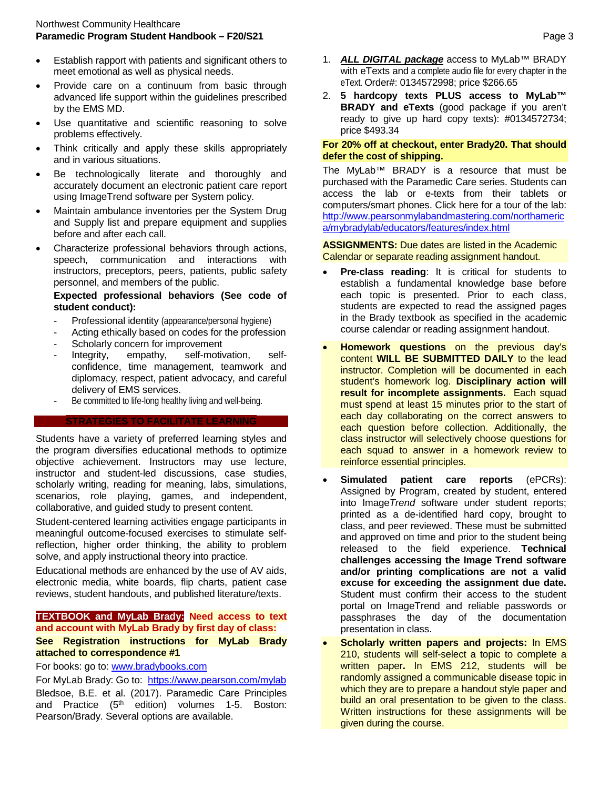- Establish rapport with patients and significant others to meet emotional as well as physical needs.
- Provide care on a continuum from basic through advanced life support within the guidelines prescribed by the EMS MD.
- Use quantitative and scientific reasoning to solve problems effectively.
- Think critically and apply these skills appropriately and in various situations.
- Be technologically literate and thoroughly and accurately document an electronic patient care report using ImageTrend software per System policy.
- Maintain ambulance inventories per the System Drug and Supply list and prepare equipment and supplies before and after each call.
- Characterize professional behaviors through actions, speech, communication and interactions with instructors, preceptors, peers, patients, public safety personnel, and members of the public.

#### **Expected professional behaviors (See code of student conduct):**

- Professional identity (appearance/personal hygiene)
- Acting ethically based on codes for the profession
- Scholarly concern for improvement
- Integrity, empathy, self-motivation, selfconfidence, time management, teamwork and diplomacy, respect, patient advocacy, and careful delivery of EMS services.
- Be committed to life-long healthy living and well-being.

#### **STRATEGIES TO FACILITATE LEARNING**

Students have a variety of preferred learning styles and the program diversifies educational methods to optimize objective achievement. Instructors may use lecture, instructor and student-led discussions, case studies, scholarly writing, reading for meaning, labs, simulations, scenarios, role playing, games, and independent, collaborative, and guided study to present content.

Student-centered learning activities engage participants in meaningful outcome-focused exercises to stimulate selfreflection, higher order thinking, the ability to problem solve, and apply instructional theory into practice.

Educational methods are enhanced by the use of AV aids, electronic media, white boards, flip charts, patient case reviews, student handouts, and published literature/texts.

#### **TEXTBOOK and MyLab Brady: Need access to text and account with MyLab Brady by first day of class:**

#### **See Registration instructions for MyLab Brady attached to correspondence #1**

For books: go to: [www.bradybooks.com](http://www.bradybooks.com/)

For MyLab Brady: Go to: <https://www.pearson.com/mylab> Bledsoe, B.E. et al. (2017). Paramedic Care Principles and Practice (5<sup>th</sup> edition) volumes 1-5. Boston: Pearson/Brady. Several options are available.

- 1. *ALL DIGITAL package* access to MyLab™ BRADY with eTexts and a complete audio file for every chapter in the eText. Order#: 0134572998; price \$266.65
- 2. **5 hardcopy texts PLUS access to MyLab™ BRADY and eTexts** (good package if you aren't ready to give up hard copy texts): #0134572734; price \$493.34

#### **For 20% off at checkout, enter Brady20. That should defer the cost of shipping.**

The MyLab™ BRADY is a resource that must be purchased with the Paramedic Care series. Students can access the lab or e-texts from their tablets or computers/smart phones. Click here for a tour of the lab: [http://www.pearsonmylabandmastering.com/northameric](http://www.pearsonmylabandmastering.com/northamerica/mybradylab/educators/features/index.html) [a/mybradylab/educators/features/index.html](http://www.pearsonmylabandmastering.com/northamerica/mybradylab/educators/features/index.html)

#### **ASSIGNMENTS:** Due dates are listed in the Academic Calendar or separate reading assignment handout.

- **Pre-class reading:** It is critical for students to establish a fundamental knowledge base before each topic is presented. Prior to each class, students are expected to read the assigned pages in the Brady textbook as specified in the academic course calendar or reading assignment handout.
- **Homework questions** on the previous day's content **WILL BE SUBMITTED DAILY** to the lead instructor. Completion will be documented in each student's homework log. **Disciplinary action will result for incomplete assignments.** Each squad must spend at least 15 minutes prior to the start of each day collaborating on the correct answers to each question before collection. Additionally, the class instructor will selectively choose questions for each squad to answer in a homework review to reinforce essential principles.
- **Simulated patient care reports** (ePCRs): Assigned by Program, created by student, entered into Image*Trend* software under student reports; printed as a de-identified hard copy, brought to class, and peer reviewed. These must be submitted and approved on time and prior to the student being released to the field experience. **Technical challenges accessing the Image Trend software and/or printing complications are not a valid excuse for exceeding the assignment due date.** Student must confirm their access to the student portal on ImageTrend and reliable passwords or passphrases the day of the documentation presentation in class.
- **Scholarly written papers and projects:** In EMS 210, students will self-select a topic to complete a written paper**.** In EMS 212, students will be randomly assigned a communicable disease topic in which they are to prepare a handout style paper and build an oral presentation to be given to the class. Written instructions for these assignments will be given during the course.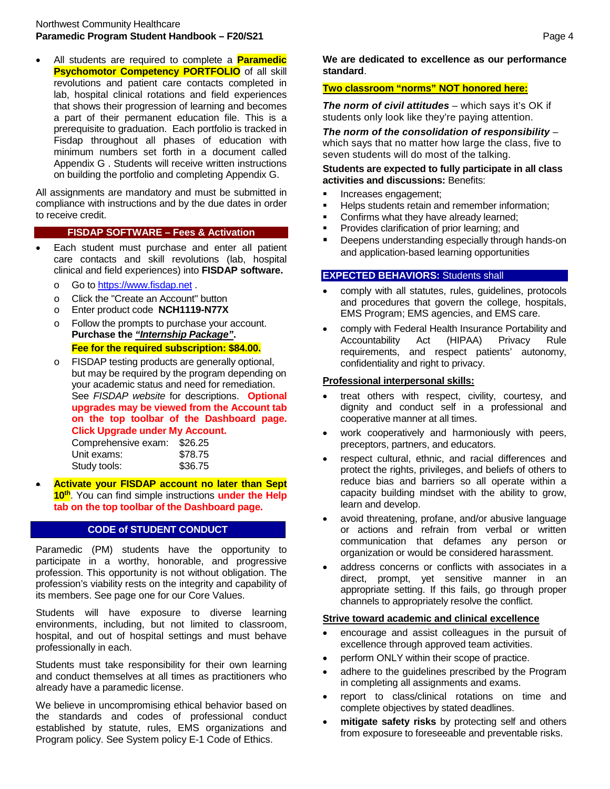• All students are required to complete a **Paramedic Psychomotor Competency PORTFOLIO** of all skill revolutions and patient care contacts completed in lab, hospital clinical rotations and field experiences that shows their progression of learning and becomes a part of their permanent education file. This is a prerequisite to graduation. Each portfolio is tracked in Fisdap throughout all phases of education with minimum numbers set forth in a document called Appendix G . Students will receive written instructions on building the portfolio and completing Appendix G.

All assignments are mandatory and must be submitted in compliance with instructions and by the due dates in order to receive credit.

#### **FISDAP SOFTWARE – Fees & Activation**

- Each student must purchase and enter all patient care contacts and skill revolutions (lab, hospital clinical and field experiences) into **FISDAP software.**
	- o Go to [https://www.fisdap.net](https://www.fisdap.net/) .
	- $\circ$  Click the "Create an Account" button<br>  $\circ$  Enter product code **NCH1119-N77X**
	- Enter product code **NCH1119-N77X**
	- o Follow the prompts to purchase your account. **Purchase the** *"Internship Package"***. Fee for the required subscription: \$84.00.**
	- o FISDAP testing products are generally optional, but may be required by the program depending on your academic status and need for remediation. See *FISDAP website* for descriptions. **Optional upgrades may be viewed from the Account tab on the top toolbar of the Dashboard page. Click Upgrade under My Account.**

| Comprehensive exam: | \$26.25 |
|---------------------|---------|
| Unit exams:         | \$78.75 |
| Study tools:        | \$36.75 |

• **Activate your FISDAP account no later than Sept 10th**. You can find simple instructions **under the Help tab on the top toolbar of the Dashboard page.**

#### **CODE of STUDENT CONDUCT**

Paramedic (PM) students have the opportunity to participate in a worthy, honorable, and progressive profession. This opportunity is not without obligation. The profession's viability rests on the integrity and capability of its members. See page one for our Core Values.

Students will have exposure to diverse learning environments, including, but not limited to classroom, hospital, and out of hospital settings and must behave professionally in each.

Students must take responsibility for their own learning and conduct themselves at all times as practitioners who already have a paramedic license.

We believe in uncompromising ethical behavior based on the standards and codes of professional conduct established by statute, rules, EMS organizations and Program policy. See System policy E-1 Code of Ethics.

**We are dedicated to excellence as our performance standard**.

# **Two classroom "norms" NOT honored here:**

*The norm of civil attitudes* – which says it's OK if students only look like they're paying attention.

*The norm of the consolidation of responsibility* – which says that no matter how large the class, five to seven students will do most of the talking.

**Students are expected to fully participate in all class activities and discussions:** Benefits:

- **Increases engagement;**
- **Helps students retain and remember information;**
- Confirms what they have already learned;
- **Provides clarification of prior learning; and**
- Deepens understanding especially through hands-on and application-based learning opportunities

# **EXPECTED BEHAVIORS:** Students shall

- comply with all statutes, rules, guidelines, protocols and procedures that govern the college, hospitals, EMS Program; EMS agencies, and EMS care.
- comply with Federal Health Insurance Portability and Accountability Act (HIPAA) Privacy Rule requirements, and respect patients' autonomy, confidentiality and right to privacy.

#### **Professional interpersonal skills:**

- treat others with respect, civility, courtesy, and dignity and conduct self in a professional and cooperative manner at all times.
- work cooperatively and harmoniously with peers, preceptors, partners, and educators.
- respect cultural, ethnic, and racial differences and protect the rights, privileges, and beliefs of others to reduce bias and barriers so all operate within a capacity building mindset with the ability to grow, learn and develop.
- avoid threatening, profane, and/or abusive language or actions and refrain from verbal or written communication that defames any person or organization or would be considered harassment.
- address concerns or conflicts with associates in a direct, prompt, yet sensitive manner in an appropriate setting. If this fails, go through proper channels to appropriately resolve the conflict.

#### **Strive toward academic and clinical excellence**

- encourage and assist colleagues in the pursuit of excellence through approved team activities.
- perform ONLY within their scope of practice.
- adhere to the guidelines prescribed by the Program in completing all assignments and exams.
- report to class/clinical rotations on time and complete objectives by stated deadlines.
- mitigate safety risks by protecting self and others from exposure to foreseeable and preventable risks.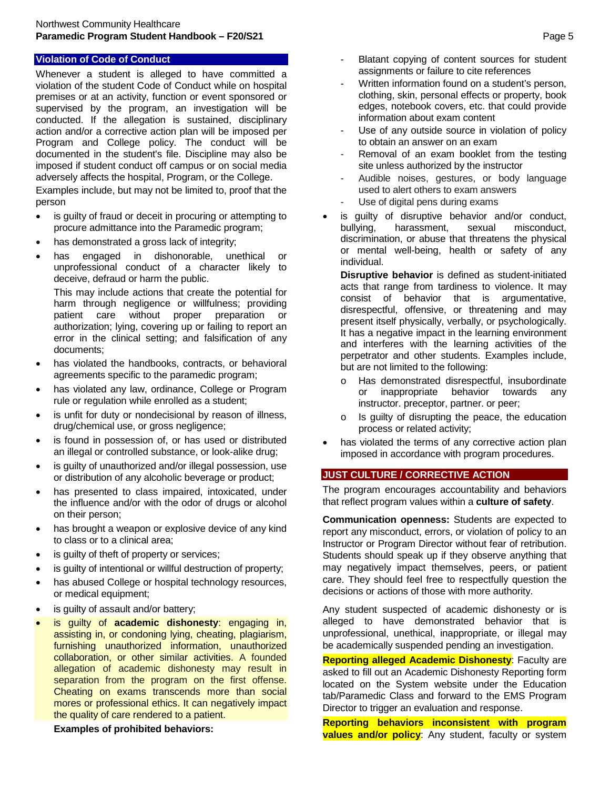#### **Violation of Code of Conduct**

Whenever a student is alleged to have committed a violation of the student Code of Conduct while on hospital premises or at an activity, function or event sponsored or supervised by the program, an investigation will be conducted. If the allegation is sustained, disciplinary action and/or a corrective action plan will be imposed per Program and College policy. The conduct will be documented in the student's file. Discipline may also be imposed if student conduct off campus or on social media adversely affects the hospital, Program, or the College.

Examples include, but may not be limited to, proof that the person

- is guilty of fraud or deceit in procuring or attempting to procure admittance into the Paramedic program;
- has demonstrated a gross lack of integrity;
- has engaged in dishonorable, unethical or unprofessional conduct of a character likely to deceive, defraud or harm the public.

This may include actions that create the potential for harm through negligence or willfulness; providing patient care without proper preparation or authorization; lying, covering up or failing to report an error in the clinical setting; and falsification of any documents;

- has violated the handbooks, contracts, or behavioral agreements specific to the paramedic program;
- has violated any law, ordinance, College or Program rule or regulation while enrolled as a student;
- is unfit for duty or nondecisional by reason of illness, drug/chemical use, or gross negligence;
- is found in possession of, or has used or distributed an illegal or controlled substance, or look-alike drug;
- is quilty of unauthorized and/or illegal possession, use or distribution of any alcoholic beverage or product;
- has presented to class impaired, intoxicated, under the influence and/or with the odor of drugs or alcohol on their person;
- has brought a weapon or explosive device of any kind to class or to a clinical area;
- is guilty of theft of property or services;
- is quilty of intentional or willful destruction of property;
- has abused College or hospital technology resources, or medical equipment;
- is guilty of assault and/or battery;
- is guilty of **academic dishonesty**: engaging in, assisting in, or condoning lying, cheating, plagiarism, furnishing unauthorized information, unauthorized collaboration, or other similar activities. A founded allegation of academic dishonesty may result in separation from the program on the first offense. Cheating on exams transcends more than social mores or professional ethics. It can negatively impact the quality of care rendered to a patient.

**Examples of prohibited behaviors:** 

- Blatant copying of content sources for student assignments or failure to cite references
- Written information found on a student's person, clothing, skin, personal effects or property, book edges, notebook covers, etc. that could provide information about exam content
- Use of any outside source in violation of policy to obtain an answer on an exam
- Removal of an exam booklet from the testing site unless authorized by the instructor
- Audible noises, gestures, or body language used to alert others to exam answers
- Use of digital pens during exams
- is guilty of disruptive behavior and/or conduct,<br>bullying, harassment, sexual misconduct. bullying, harassment, sexual misconduct, discrimination, or abuse that threatens the physical or mental well-being, health or safety of any individual.

**Disruptive behavior** is defined as student-initiated acts that range from tardiness to violence. It may consist of behavior that is argumentative, disrespectful, offensive, or threatening and may present itself physically, verbally, or psychologically. It has a negative impact in the learning environment and interferes with the learning activities of the perpetrator and other students. Examples include, but are not limited to the following:

- o Has demonstrated disrespectful, insubordinate inappropriate behavior instructor. preceptor, partner. or peer;
- Is guilty of disrupting the peace, the education process or related activity;
- has violated the terms of any corrective action plan imposed in accordance with program procedures.

# **JUST CULTURE / CORRECTIVE ACTION**

The program encourages accountability and behaviors that reflect program values within a **culture of safety**.

**Communication openness:** Students are expected to report any misconduct, errors, or violation of policy to an Instructor or Program Director without fear of retribution. Students should speak up if they observe anything that may negatively impact themselves, peers, or patient care. They should feel free to respectfully question the decisions or actions of those with more authority.

Any student suspected of academic dishonesty or is alleged to have demonstrated behavior that is unprofessional, unethical, inappropriate, or illegal may be academically suspended pending an investigation.

**Reporting alleged Academic Dishonesty**: Faculty are asked to fill out an Academic Dishonesty Reporting form located on the System website under the Education tab/Paramedic Class and forward to the EMS Program Director to trigger an evaluation and response.

**Reporting behaviors inconsistent with program values and/or policy**: Any student, faculty or system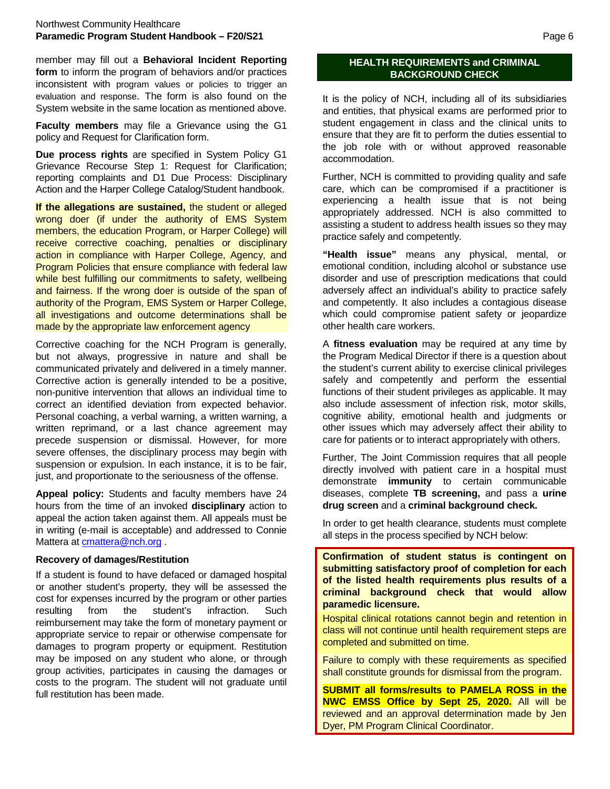member may fill out a **Behavioral Incident Reporting form** to inform the program of behaviors and/or practices inconsistent with program values or policies to trigger an evaluation and response. The form is also found on the System website in the same location as mentioned above.

**Faculty members** may file a Grievance using the G1 policy and Request for Clarification form.

**Due process rights** are specified in System Policy G1 Grievance Recourse Step 1: Request for Clarification; reporting complaints and D1 Due Process: Disciplinary Action and the Harper College Catalog/Student handbook.

**If the allegations are sustained,** the student or alleged wrong doer (if under the authority of EMS System members, the education Program, or Harper College) will receive corrective coaching, penalties or disciplinary action in compliance with Harper College, Agency, and Program Policies that ensure compliance with federal law while best fulfilling our commitments to safety, wellbeing and fairness. If the wrong doer is outside of the span of authority of the Program, EMS System or Harper College, all investigations and outcome determinations shall be made by the appropriate law enforcement agency

Corrective coaching for the NCH Program is generally, but not always, progressive in nature and shall be communicated privately and delivered in a timely manner. Corrective action is generally intended to be a positive, non-punitive intervention that allows an individual time to correct an identified deviation from expected behavior. Personal coaching, a verbal warning, a written warning, a written reprimand, or a last chance agreement may precede suspension or dismissal. However, for more severe offenses, the disciplinary process may begin with suspension or expulsion. In each instance, it is to be fair, just, and proportionate to the seriousness of the offense.

**Appeal policy:** Students and faculty members have 24 hours from the time of an invoked **disciplinary** action to appeal the action taken against them. All appeals must be in writing (e-mail is acceptable) and addressed to Connie Mattera at [cmattera@nch.org](mailto:cmattera@nch.org) .

#### **Recovery of damages/Restitution**

If a student is found to have defaced or damaged hospital or another student's property, they will be assessed the cost for expenses incurred by the program or other parties resulting from the student's infraction. Such reimbursement may take the form of monetary payment or appropriate service to repair or otherwise compensate for damages to program property or equipment. Restitution may be imposed on any student who alone, or through group activities, participates in causing the damages or costs to the program. The student will not graduate until full restitution has been made.

# **HEALTH REQUIREMENTS and CRIMINAL BACKGROUND CHECK**

It is the policy of NCH, including all of its subsidiaries and entities, that physical exams are performed prior to student engagement in class and the clinical units to ensure that they are fit to perform the duties essential to the job role with or without approved reasonable accommodation.

Further, NCH is committed to providing quality and safe care, which can be compromised if a practitioner is experiencing a health issue that is not being appropriately addressed. NCH is also committed to assisting a student to address health issues so they may practice safely and competently.

**"Health issue"** means any physical, mental, or emotional condition, including alcohol or substance use disorder and use of prescription medications that could adversely affect an individual's ability to practice safely and competently. It also includes a contagious disease which could compromise patient safety or jeopardize other health care workers.

A **fitness evaluation** may be required at any time by the Program Medical Director if there is a question about the student's current ability to exercise clinical privileges safely and competently and perform the essential functions of their student privileges as applicable. It may also include assessment of infection risk, motor skills, cognitive ability, emotional health and judgments or other issues which may adversely affect their ability to care for patients or to interact appropriately with others.

Further, The Joint Commission requires that all people directly involved with patient care in a hospital must demonstrate **immunity** to certain communicable diseases, complete **TB screening,** and pass a **urine drug screen** and a **criminal background check.** 

In order to get health clearance, students must complete all steps in the process specified by NCH below:

**Confirmation of student status is contingent on submitting satisfactory proof of completion for each of the listed health requirements plus results of a criminal background check that would allow paramedic licensure.**

Hospital clinical rotations cannot begin and retention in class will not continue until health requirement steps are completed and submitted on time.

Failure to comply with these requirements as specified shall constitute grounds for dismissal from the program.

**SUBMIT all forms/results to PAMELA ROSS in the NWC EMSS Office by Sept 25, 2020.** All will be reviewed and an approval determination made by Jen Dyer, PM Program Clinical Coordinator.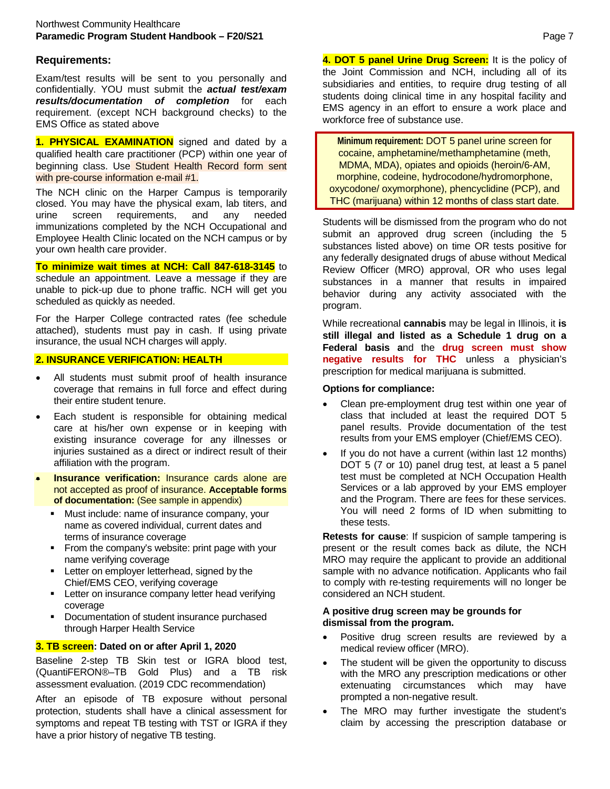# **Requirements:**

Exam/test results will be sent to you personally and confidentially. YOU must submit the *actual test/exam results/documentation of completion* for each requirement. (except NCH background checks) to the EMS Office as stated above

**1. PHYSICAL EXAMINATION** signed and dated by a qualified health care practitioner (PCP) within one year of beginning class. Use Student Health Record form sent with pre-course information e-mail #1.

The NCH clinic on the Harper Campus is temporarily closed. You may have the physical exam, lab titers, and urine screen requirements, and any needed immunizations completed by the NCH Occupational and Employee Health Clinic located on the NCH campus or by your own health care provider.

**To minimize wait times at NCH: Call 847-618-3145** to schedule an appointment. Leave a message if they are unable to pick-up due to phone traffic. NCH will get you scheduled as quickly as needed.

For the Harper College contracted rates (fee schedule attached), students must pay in cash. If using private insurance, the usual NCH charges will apply.

# **2. INSURANCE VERIFICATION: HEALTH**

- All students must submit proof of health insurance coverage that remains in full force and effect during their entire student tenure.
- Each student is responsible for obtaining medical care at his/her own expense or in keeping with existing insurance coverage for any illnesses or injuries sustained as a direct or indirect result of their affiliation with the program.
- **Insurance verification:** Insurance cards alone are not accepted as proof of insurance. **Acceptable forms of documentation:** (See sample in appendix)
	- **Must include: name of insurance company, your** name as covered individual, current dates and terms of insurance coverage
	- From the company's website: print page with your name verifying coverage
	- **EXECTER 1** Letter on employer letterhead, signed by the Chief/EMS CEO, verifying coverage
	- **EXECTER 12 Letter on insurance company letter head verifying** coverage
	- Documentation of student insurance purchased through Harper Health Service

# **3. TB screen: Dated on or after April 1, 2020**

Baseline 2-step TB Skin test or IGRA blood test, (QuantiFERON®–TB Gold Plus) and a TB risk assessment evaluation. (2019 CDC recommendation)

After an episode of TB exposure without personal protection, students shall have a clinical assessment for symptoms and repeat TB testing with TST or IGRA if they have a prior history of negative TB testing.

**4. DOT 5 panel Urine Drug Screen:** It is the policy of the Joint Commission and NCH, including all of its subsidiaries and entities, to require drug testing of all students doing clinical time in any hospital facility and EMS agency in an effort to ensure a work place and workforce free of substance use.

**Minimum requirement:** DOT 5 panel urine screen for cocaine, amphetamine/methamphetamine (meth, MDMA, MDA), opiates and opioids (heroin/6-AM, morphine, codeine, hydrocodone/hydromorphone, oxycodone/ oxymorphone), phencyclidine (PCP), and THC (marijuana) within 12 months of class start date.

Students will be dismissed from the program who do not submit an approved drug screen (including the 5 substances listed above) on time OR tests positive for any federally designated drugs of abuse without Medical Review Officer (MRO) approval, OR who uses legal substances in a manner that results in impaired behavior during any activity associated with the program.

While recreational **cannabis** may be legal in Illinois, it **is still illegal and listed as a Schedule 1 drug on a Federal basis a**nd the **drug screen must show negative results for THC** unless a physician's prescription for medical marijuana is submitted.

# **Options for compliance:**

- Clean pre-employment drug test within one year of class that included at least the required DOT 5 panel results. Provide documentation of the test results from your EMS employer (Chief/EMS CEO).
- If you do not have a current (within last 12 months) DOT 5 (7 or 10) panel drug test, at least a 5 panel test must be completed at NCH Occupation Health Services or a lab approved by your EMS employer and the Program. There are fees for these services. You will need 2 forms of ID when submitting to these tests.

**Retests for cause**: If suspicion of sample tampering is present or the result comes back as dilute, the NCH MRO may require the applicant to provide an additional sample with no advance notification. Applicants who fail to comply with re-testing requirements will no longer be considered an NCH student.

#### **A positive drug screen may be grounds for dismissal from the program.**

- Positive drug screen results are reviewed by a medical review officer (MRO).
- The student will be given the opportunity to discuss with the MRO any prescription medications or other extenuating circumstances which may have prompted a non-negative result.
- The MRO may further investigate the student's claim by accessing the prescription database or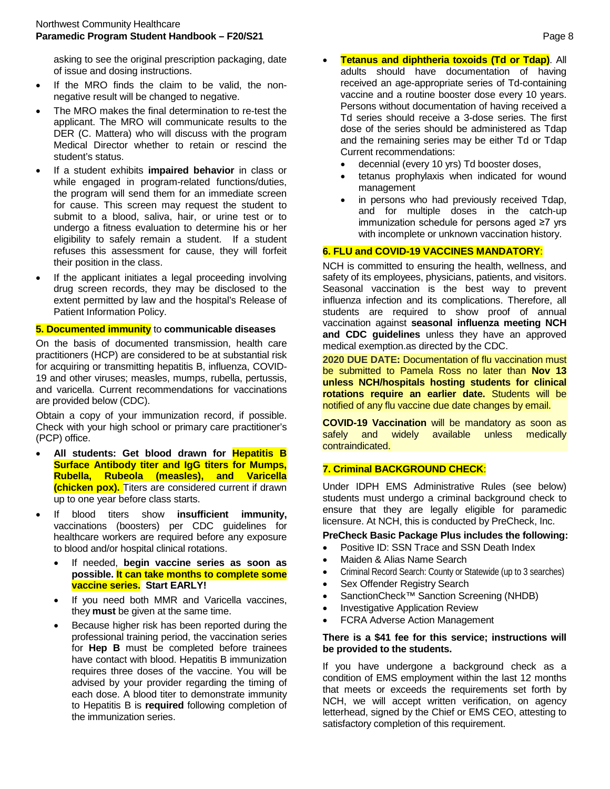asking to see the original prescription packaging, date of issue and dosing instructions.

- If the MRO finds the claim to be valid, the nonnegative result will be changed to negative.
- The MRO makes the final determination to re-test the applicant. The MRO will communicate results to the DER (C. Mattera) who will discuss with the program Medical Director whether to retain or rescind the student's status.
- If a student exhibits **impaired behavior** in class or while engaged in program-related functions/duties, the program will send them for an immediate screen for cause. This screen may request the student to submit to a blood, saliva, hair, or urine test or to undergo a fitness evaluation to determine his or her eligibility to safely remain a student. If a student refuses this assessment for cause, they will forfeit their position in the class.
- If the applicant initiates a legal proceeding involving drug screen records, they may be disclosed to the extent permitted by law and the hospital's Release of Patient Information Policy.

#### **5. Documented immunity** to **communicable diseases**

On the basis of documented transmission, health care practitioners (HCP) are considered to be at substantial risk for acquiring or transmitting hepatitis B, influenza, COVID-19 and other viruses; measles, mumps, rubella, pertussis, and varicella. Current recommendations for vaccinations are provided below (CDC).

Obtain a copy of your immunization record, if possible. Check with your high school or primary care practitioner's (PCP) office.

- **All students: Get blood drawn for Hepatitis B Surface Antibody titer and IgG titers for Mumps, Rubella, Rubeola (measles), and Varicella (chicken pox).** Titers are considered current if drawn up to one year before class starts.
- If blood titers show **insufficient immunity,**  vaccinations (boosters) per CDC guidelines for healthcare workers are required before any exposure to blood and/or hospital clinical rotations.
	- If needed, **begin vaccine series as soon as possible. It can take months to complete some vaccine series. Start EARLY!**
	- If you need both MMR and Varicella vaccines, they **must** be given at the same time.
	- Because higher risk has been reported during the professional training period, the vaccination series for **Hep B** must be completed before trainees have contact with blood. Hepatitis B immunization requires three doses of the vaccine. You will be advised by your provider regarding the timing of each dose. A blood titer to demonstrate immunity to Hepatitis B is **required** following completion of the immunization series.
- **Tetanus and diphtheria toxoids (Td or Tdap)**. All adults should have documentation of having received an age-appropriate series of Td-containing vaccine and a routine booster dose every 10 years. Persons without documentation of having received a Td series should receive a 3-dose series. The first dose of the series should be administered as Tdap and the remaining series may be either Td or Tdap Current recommendations:
	- decennial (every 10 yrs) Td booster doses,
	- tetanus prophylaxis when indicated for wound management
	- in persons who had previously received Tdap. and for multiple doses in the catch-up immunization schedule for persons aged ≥7 yrs with incomplete or unknown vaccination history.

# **6. FLU and COVID-19 VACCINES MANDATORY**:

NCH is committed to ensuring the health, wellness, and safety of its employees, physicians, patients, and visitors. Seasonal vaccination is the best way to prevent influenza infection and its complications. Therefore, all students are required to show proof of annual vaccination against **seasonal influenza meeting NCH and CDC guidelines** unless they have an approved medical exemption.as directed by the CDC.

**2020 DUE DATE:** Documentation of flu vaccination must be submitted to Pamela Ross no later than **Nov 13 unless NCH/hospitals hosting students for clinical rotations require an earlier date.** Students will be notified of any flu vaccine due date changes by email.

**COVID-19 Vaccination** will be mandatory as soon as safely and widely available unless medically contraindicated.

#### **7. Criminal BACKGROUND CHECK**:

Under IDPH EMS Administrative Rules (see below) students must undergo a criminal background check to ensure that they are legally eligible for paramedic licensure. At NCH, this is conducted by PreCheck, Inc.

#### **PreCheck Basic Package Plus includes the following:**

- Positive ID: SSN Trace and SSN Death Index
- Maiden & Alias Name Search
- Criminal Record Search: County or Statewide (up to 3 searches)
- Sex Offender Registry Search
- SanctionCheck™ Sanction Screening (NHDB)
- Investigative Application Review
- FCRA Adverse Action Management

#### **There is a \$41 fee for this service; instructions will be provided to the students.**

If you have undergone a background check as a condition of EMS employment within the last 12 months that meets or exceeds the requirements set forth by NCH, we will accept written verification, on agency letterhead, signed by the Chief or EMS CEO, attesting to satisfactory completion of this requirement.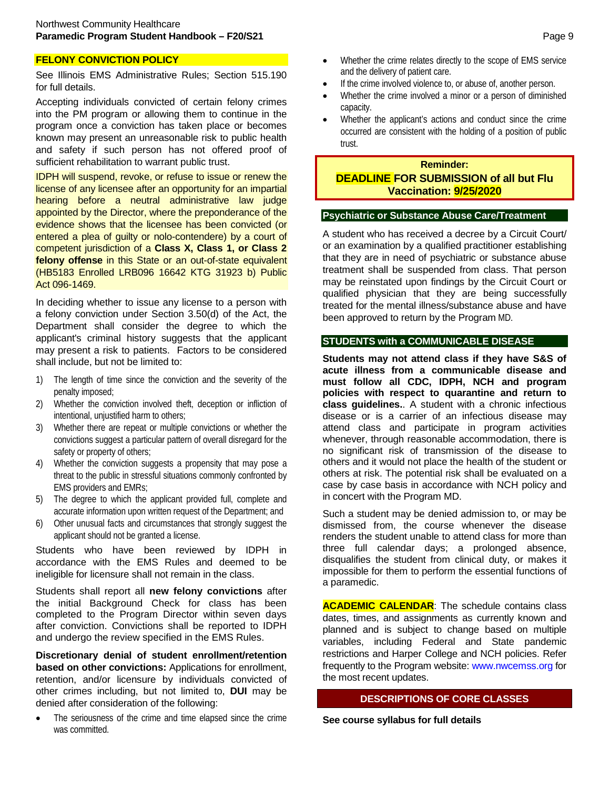# **FELONY CONVICTION POLICY**

See Illinois EMS Administrative Rules; Section 515.190 for full details.

Accepting individuals convicted of certain felony crimes into the PM program or allowing them to continue in the program once a conviction has taken place or becomes known may present an unreasonable risk to public health and safety if such person has not offered proof of sufficient rehabilitation to warrant public trust.

IDPH will suspend, revoke, or refuse to issue or renew the license of any licensee after an opportunity for an impartial hearing before a neutral administrative law judge appointed by the Director, where the preponderance of the evidence shows that the licensee has been convicted (or entered a plea of guilty or nolo-contendere) by a court of competent jurisdiction of a **Class X, Class 1, or Class 2 felony offense** in this State or an out-of-state equivalent (HB5183 Enrolled LRB096 16642 KTG 31923 b) Public Act 096-1469.

In deciding whether to issue any license to a person with a felony conviction under Section 3.50(d) of the Act, the Department shall consider the degree to which the applicant's criminal history suggests that the applicant may present a risk to patients. Factors to be considered shall include, but not be limited to:

- 1) The length of time since the conviction and the severity of the penalty imposed;
- 2) Whether the conviction involved theft, deception or infliction of intentional, unjustified harm to others;
- 3) Whether there are repeat or multiple convictions or whether the convictions suggest a particular pattern of overall disregard for the safety or property of others;
- 4) Whether the conviction suggests a propensity that may pose a threat to the public in stressful situations commonly confronted by EMS providers and EMRs;
- 5) The degree to which the applicant provided full, complete and accurate information upon written request of the Department; and
- 6) Other unusual facts and circumstances that strongly suggest the applicant should not be granted a license.

Students who have been reviewed by IDPH in accordance with the EMS Rules and deemed to be ineligible for licensure shall not remain in the class.

Students shall report all **new felony convictions** after the initial Background Check for class has been completed to the Program Director within seven days after conviction. Convictions shall be reported to IDPH and undergo the review specified in the EMS Rules.

**Discretionary denial of student enrollment/retention based on other convictions:** Applications for enrollment, retention, and/or licensure by individuals convicted of other crimes including, but not limited to, **DUI** may be denied after consideration of the following:

The seriousness of the crime and time elapsed since the crime was committed.

- Whether the crime relates directly to the scope of EMS service and the delivery of patient care.
- If the crime involved violence to, or abuse of, another person.
- Whether the crime involved a minor or a person of diminished capacity.
- Whether the applicant's actions and conduct since the crime occurred are consistent with the holding of a position of public trust.

# **Reminder: DEADLINE FOR SUBMISSION of all but Flu Vaccination: 9/25/2020**

#### **Psychiatric or Substance Abuse Care/Treatment**

A student who has received a decree by a Circuit Court/ or an examination by a qualified practitioner establishing that they are in need of psychiatric or substance abuse treatment shall be suspended from class. That person may be reinstated upon findings by the Circuit Court or qualified physician that they are being successfully treated for the mental illness/substance abuse and have been approved to return by the Program MD.

# **STUDENTS with a COMMUNICABLE DISEASE**

**Students may not attend class if they have S&S of acute illness from a communicable disease and must follow all CDC, IDPH, NCH and program policies with respect to quarantine and return to class guidelines.**. A student with a chronic infectious disease or is a carrier of an infectious disease may attend class and participate in program activities whenever, through reasonable accommodation, there is no significant risk of transmission of the disease to others and it would not place the health of the student or others at risk. The potential risk shall be evaluated on a case by case basis in accordance with NCH policy and in concert with the Program MD.

Such a student may be denied admission to, or may be dismissed from, the course whenever the disease renders the student unable to attend class for more than three full calendar days; a prolonged absence, disqualifies the student from clinical duty, or makes it impossible for them to perform the essential functions of a paramedic.

**ACADEMIC CALENDAR**: The schedule contains class dates, times, and assignments as currently known and planned and is subject to change based on multiple variables, including Federal and State pandemic restrictions and Harper College and NCH policies. Refer frequently to the Program website: [www.nwcemss.org](http://www.nwcemss.org/) for the most recent updates.

# **DESCRIPTIONS OF CORE CLASSES**

**See course syllabus for full details**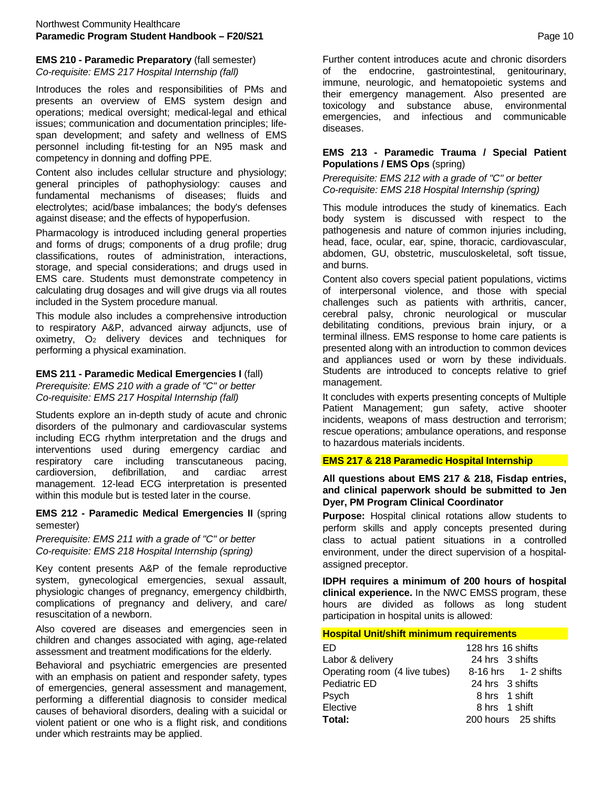# **EMS 210 - Paramedic Preparatory** (fall semester) *Co-requisite: EMS 217 Hospital Internship (fall)*

Introduces the roles and responsibilities of PMs and presents an overview of EMS system design and operations; medical oversight; medical-legal and ethical issues; communication and documentation principles; lifespan development; and safety and wellness of EMS personnel including fit-testing for an N95 mask and competency in donning and doffing PPE.

Content also includes cellular structure and physiology; general principles of pathophysiology: causes and fundamental mechanisms of diseases; fluids and electrolytes; acid/base imbalances; the body's defenses against disease; and the effects of hypoperfusion.

Pharmacology is introduced including general properties and forms of drugs; components of a drug profile; drug classifications, routes of administration, interactions, storage, and special considerations; and drugs used in EMS care. Students must demonstrate competency in calculating drug dosages and will give drugs via all routes included in the System procedure manual.

This module also includes a comprehensive introduction to respiratory A&P, advanced airway adjuncts, use of oximetry, O2 delivery devices and techniques for performing a physical examination.

# **EMS 211 - Paramedic Medical Emergencies I** (fall)

*Prerequisite: EMS 210 with a grade of "C" or better Co-requisite: EMS 217 Hospital Internship (fall)*

Students explore an in-depth study of acute and chronic disorders of the pulmonary and cardiovascular systems including ECG rhythm interpretation and the drugs and interventions used during emergency cardiac and respiratory care including transcutaneous pacing, cardioversion, defibrillation, and cardiac arrest management. 12-lead ECG interpretation is presented within this module but is tested later in the course.

#### **EMS 212 - Paramedic Medical Emergencies II** (spring semester)

*Prerequisite: EMS 211 with a grade of "C" or better Co-requisite: EMS 218 Hospital Internship (spring)*

Key content presents A&P of the female reproductive system, gynecological emergencies, sexual assault, physiologic changes of pregnancy, emergency childbirth, complications of pregnancy and delivery, and care/ resuscitation of a newborn.

Also covered are diseases and emergencies seen in children and changes associated with aging, age-related assessment and treatment modifications for the elderly.

Behavioral and psychiatric emergencies are presented with an emphasis on patient and responder safety, types of emergencies, general assessment and management, performing a differential diagnosis to consider medical causes of behavioral disorders, dealing with a suicidal or violent patient or one who is a flight risk, and conditions under which restraints may be applied.

Further content introduces acute and chronic disorders of the endocrine, gastrointestinal, genitourinary, immune, neurologic, and hematopoietic systems and their emergency management. Also presented are toxicology and substance abuse, environmental emergencies, and infectious and communicable diseases.

#### **EMS 213 - Paramedic Trauma / Special Patient Populations / EMS Ops** (spring)

*Prerequisite: EMS 212 with a grade of "C" or better Co-requisite: EMS 218 Hospital Internship (spring)*

This module introduces the study of kinematics. Each body system is discussed with respect to the pathogenesis and nature of common injuries including, head, face, ocular, ear, spine, thoracic, cardiovascular, abdomen, GU, obstetric, musculoskeletal, soft tissue, and burns.

Content also covers special patient populations, victims of interpersonal violence, and those with special challenges such as patients with arthritis, cancer, cerebral palsy, chronic neurological or muscular debilitating conditions, previous brain injury, or a terminal illness. EMS response to home care patients is presented along with an introduction to common devices and appliances used or worn by these individuals. Students are introduced to concepts relative to grief management.

It concludes with experts presenting concepts of Multiple Patient Management; gun safety, active shooter incidents, weapons of mass destruction and terrorism; rescue operations; ambulance operations, and response to hazardous materials incidents.

#### **EMS 217 & 218 Paramedic Hospital Internship**

# **All questions about EMS 217 & 218, Fisdap entries, and clinical paperwork should be submitted to Jen Dyer, PM Program Clinical Coordinator**

**Purpose:** Hospital clinical rotations allow students to perform skills and apply concepts presented during class to actual patient situations in a controlled environment, under the direct supervision of a hospitalassigned preceptor.

**IDPH requires a minimum of 200 hours of hospital clinical experience.** In the NWC EMSS program, these hours are divided as follows as long student participation in hospital units is allowed:

#### **Hospital Unit/shift minimum requirements**

| FD.                           | 128 hrs 16 shifts       |
|-------------------------------|-------------------------|
| Labor & delivery              | 24 hrs 3 shifts         |
| Operating room (4 live tubes) | $8-16$ hrs $1-2$ shifts |
| Pediatric ED                  | 24 hrs 3 shifts         |
| Psych                         | 8 hrs 1 shift           |
| Elective                      | 8 hrs 1 shift           |
| Total:                        | 200 hours 25 shifts     |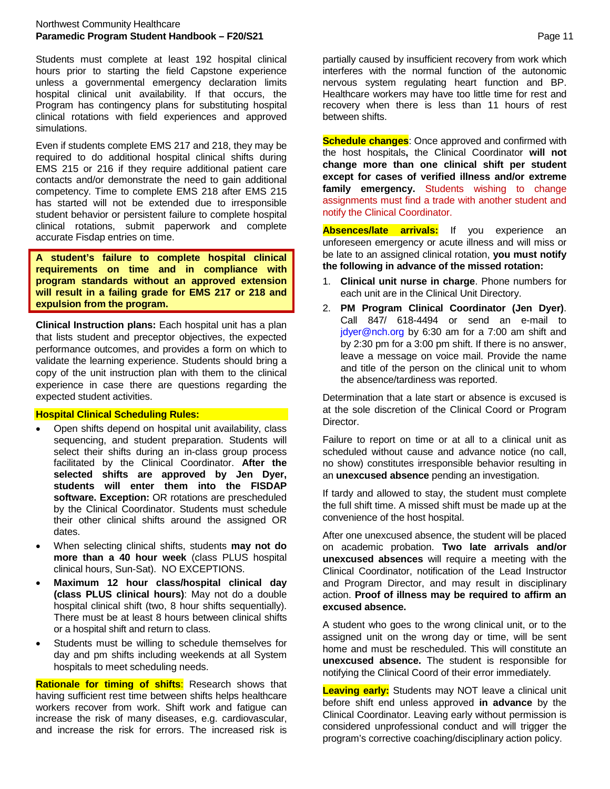Students must complete at least 192 hospital clinical hours prior to starting the field Capstone experience unless a governmental emergency declaration limits hospital clinical unit availability. If that occurs, the Program has contingency plans for substituting hospital clinical rotations with field experiences and approved simulations.

Even if students complete EMS 217 and 218, they may be required to do additional hospital clinical shifts during EMS 215 or 216 if they require additional patient care contacts and/or demonstrate the need to gain additional competency. Time to complete EMS 218 after EMS 215 has started will not be extended due to irresponsible student behavior or persistent failure to complete hospital clinical rotations, submit paperwork and complete accurate Fisdap entries on time.

**A student's failure to complete hospital clinical requirements on time and in compliance with program standards without an approved extension will result in a failing grade for EMS 217 or 218 and expulsion from the program.**

**Clinical Instruction plans:** Each hospital unit has a plan that lists student and preceptor objectives, the expected performance outcomes, and provides a form on which to validate the learning experience. Students should bring a copy of the unit instruction plan with them to the clinical experience in case there are questions regarding the expected student activities.

#### **Hospital Clinical Scheduling Rules:**

- Open shifts depend on hospital unit availability, class sequencing, and student preparation. Students will select their shifts during an in-class group process facilitated by the Clinical Coordinator. **After the selected shifts are approved by Jen Dyer, students will enter them into the FISDAP software. Exception:** OR rotations are prescheduled by the Clinical Coordinator. Students must schedule their other clinical shifts around the assigned OR dates.
- When selecting clinical shifts, students **may not do more than a 40 hour week** (class PLUS hospital clinical hours, Sun-Sat). NO EXCEPTIONS.
- **Maximum 12 hour class/hospital clinical day (class PLUS clinical hours)**: May not do a double hospital clinical shift (two, 8 hour shifts sequentially). There must be at least 8 hours between clinical shifts or a hospital shift and return to class.
- Students must be willing to schedule themselves for day and pm shifts including weekends at all System hospitals to meet scheduling needs.

**Rationale for timing of shifts**: Research shows that having sufficient rest time between shifts helps healthcare workers recover from work. Shift work and fatigue can increase the risk of many diseases, e.g. cardiovascular, and increase the risk for errors. The increased risk is

partially caused by insufficient recovery from work which interferes with the normal function of the autonomic nervous system regulating heart function and BP. Healthcare workers may have too little time for rest and recovery when there is less than 11 hours of rest between shifts.

**Schedule changes:** Once approved and confirmed with the host hospitals**,** the Clinical Coordinator **will not change more than one clinical shift per student except for cases of verified illness and/or extreme family emergency.** Students wishing to change assignments must find a trade with another student and notify the Clinical Coordinator.

**Absences/late arrivals:** If you experience an unforeseen emergency or acute illness and will miss or be late to an assigned clinical rotation, **you must notify the following in advance of the missed rotation:**

- 1. **Clinical unit nurse in charge**. Phone numbers for each unit are in the Clinical Unit Directory.
- 2. **PM Program Clinical Coordinator (Jen Dyer)**. Call 847/ 618-4494 or send an e-mail to [jdyer@nch.org](mailto:jdyer@nch.org) by 6:30 am for a 7:00 am shift and by 2:30 pm for a 3:00 pm shift. If there is no answer, leave a message on voice mail. Provide the name and title of the person on the clinical unit to whom the absence/tardiness was reported.

Determination that a late start or absence is excused is at the sole discretion of the Clinical Coord or Program Director.

Failure to report on time or at all to a clinical unit as scheduled without cause and advance notice (no call, no show) constitutes irresponsible behavior resulting in an **unexcused absence** pending an investigation.

If tardy and allowed to stay, the student must complete the full shift time. A missed shift must be made up at the convenience of the host hospital.

After one unexcused absence, the student will be placed on academic probation. **Two late arrivals and/or unexcused absences** will require a meeting with the Clinical Coordinator, notification of the Lead Instructor and Program Director, and may result in disciplinary action. **Proof of illness may be required to affirm an excused absence.**

A student who goes to the wrong clinical unit, or to the assigned unit on the wrong day or time, will be sent home and must be rescheduled. This will constitute an **unexcused absence.** The student is responsible for notifying the Clinical Coord of their error immediately.

**Leaving early:** Students may NOT leave a clinical unit before shift end unless approved **in advance** by the Clinical Coordinator. Leaving early without permission is considered unprofessional conduct and will trigger the program's corrective coaching/disciplinary action policy.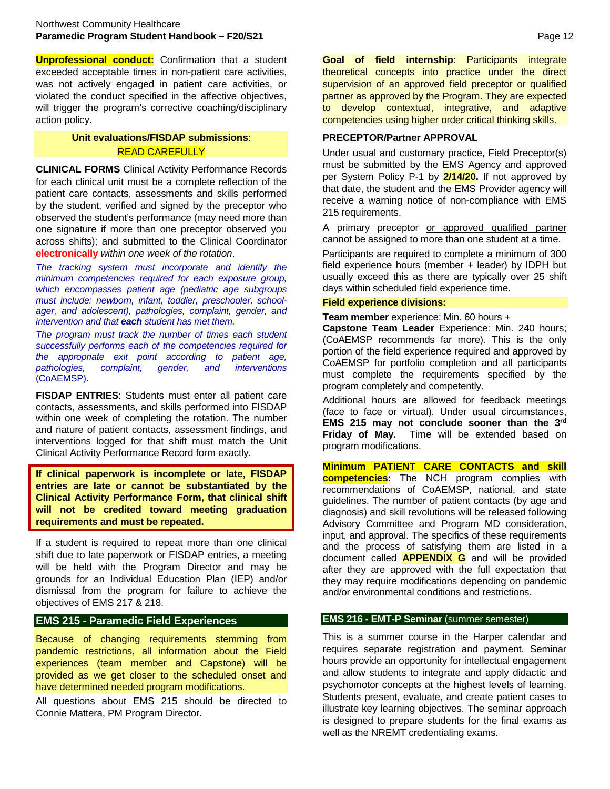**Unprofessional conduct:** Confirmation that a student exceeded acceptable times in non-patient care activities, was not actively engaged in patient care activities, or violated the conduct specified in the affective objectives, will trigger the program's corrective coaching/disciplinary action policy.

# **Unit evaluations/FISDAP submissions**: READ CAREFULLY

**CLINICAL FORMS** Clinical Activity Performance Records for each clinical unit must be a complete reflection of the patient care contacts, assessments and skills performed by the student, verified and signed by the preceptor who observed the student's performance (may need more than one signature if more than one preceptor observed you across shifts); and submitted to the Clinical Coordinator **electronically** *within one week of the rotation*.

*The tracking system must incorporate and identify the minimum competencies required for each exposure group, which encompasses patient age (pediatric age subgroups must include: newborn, infant, toddler, preschooler, schoolager, and adolescent), pathologies, complaint, gender, and intervention and that each student has met them.*

*The program must track the number of times each student successfully performs each of the competencies required for the appropriate exit point according to patient age, pathologies, complaint, gender, and interventions* (CoAEMSP).

**FISDAP ENTRIES**: Students must enter all patient care contacts, assessments, and skills performed into FISDAP within one week of completing the rotation. The number and nature of patient contacts, assessment findings, and interventions logged for that shift must match the Unit Clinical Activity Performance Record form exactly.

**If clinical paperwork is incomplete or late, FISDAP entries are late or cannot be substantiated by the Clinical Activity Performance Form, that clinical shift will not be credited toward meeting graduation requirements and must be repeated.**

If a student is required to repeat more than one clinical shift due to late paperwork or FISDAP entries, a meeting will be held with the Program Director and may be grounds for an Individual Education Plan (IEP) and/or dismissal from the program for failure to achieve the objectives of EMS 217 & 218.

# **EMS 215 - Paramedic Field Experiences**

Because of changing requirements stemming from pandemic restrictions, all information about the Field experiences (team member and Capstone) will be provided as we get closer to the scheduled onset and have determined needed program modifications.

All questions about EMS 215 should be directed to Connie Mattera, PM Program Director.

**Goal of field internship**: Participants integrate theoretical concepts into practice under the direct supervision of an approved field preceptor or qualified partner as approved by the Program. They are expected to develop contextual, integrative, and adaptive competencies using higher order critical thinking skills.

#### **PRECEPTOR/Partner APPROVAL**

Under usual and customary practice, Field Preceptor(s) must be submitted by the EMS Agency and approved per System Policy P-1 by **2/14/20.** If not approved by that date, the student and the EMS Provider agency will receive a warning notice of non-compliance with EMS 215 requirements.

A primary preceptor or approved qualified partner cannot be assigned to more than one student at a time.

Participants are required to complete a minimum of 300 field experience hours (member + leader) by IDPH but usually exceed this as there are typically over 25 shift days within scheduled field experience time.

#### **Field experience divisions:**

**Team member** experience: Min. 60 hours +

**Capstone Team Leader** Experience: Min. 240 hours; (CoAEMSP recommends far more). This is the only portion of the field experience required and approved by CoAEMSP for portfolio completion and all participants must complete the requirements specified by the program completely and competently.

Additional hours are allowed for feedback meetings (face to face or virtual). Under usual circumstances, **EMS 215 may not conclude sooner than the 3rd Friday of May.** Time will be extended based on program modifications.

**Minimum PATIENT CARE CONTACTS and skill competencies:** The NCH program complies with recommendations of CoAEMSP, national, and state guidelines. The number of patient contacts (by age and diagnosis) and skill revolutions will be released following Advisory Committee and Program MD consideration, input, and approval. The specifics of these requirements and the process of satisfying them are listed in a document called **APPENDIX G** and will be provided after they are approved with the full expectation that they may require modifications depending on pandemic and/or environmental conditions and restrictions.

#### **EMS 216 - EMT-P Seminar** (summer semester)

This is a summer course in the Harper calendar and requires separate registration and payment. Seminar hours provide an opportunity for intellectual engagement and allow students to integrate and apply didactic and psychomotor concepts at the highest levels of learning. Students present, evaluate, and create patient cases to illustrate key learning objectives. The seminar approach is designed to prepare students for the final exams as well as the NREMT credentialing exams.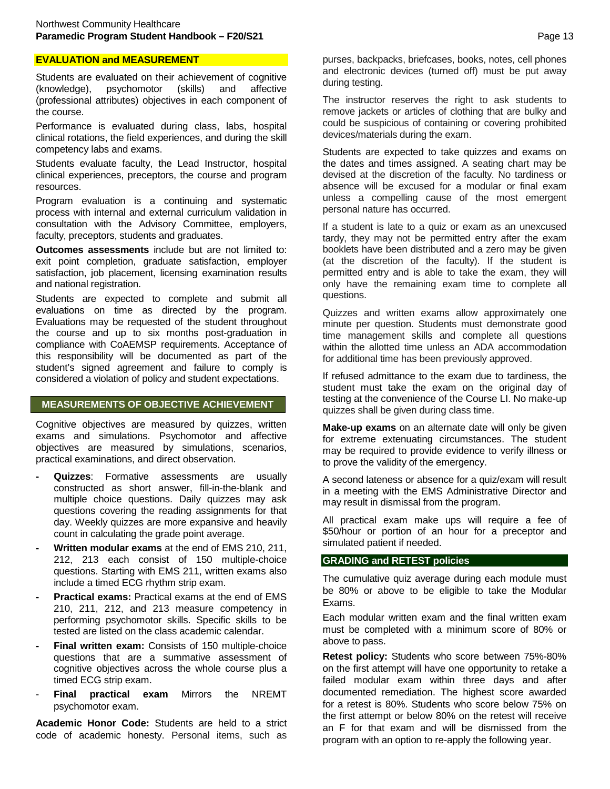# **EVALUATION and MEASUREMENT**

Students are evaluated on their achievement of cognitive (knowledge), psychomotor (skills) and affective (professional attributes) objectives in each component of the course.

Performance is evaluated during class, labs, hospital clinical rotations, the field experiences, and during the skill competency labs and exams.

Students evaluate faculty, the Lead Instructor, hospital clinical experiences, preceptors, the course and program resources.

Program evaluation is a continuing and systematic process with internal and external curriculum validation in consultation with the Advisory Committee, employers, faculty, preceptors, students and graduates.

**Outcomes assessments** include but are not limited to: exit point completion, graduate satisfaction, employer satisfaction, job placement, licensing examination results and national registration.

Students are expected to complete and submit all evaluations on time as directed by the program. Evaluations may be requested of the student throughout the course and up to six months post-graduation in compliance with CoAEMSP requirements. Acceptance of this responsibility will be documented as part of the student's signed agreement and failure to comply is considered a violation of policy and student expectations.

#### **MEASUREMENTS OF OBJECTIVE ACHIEVEMENT**

Cognitive objectives are measured by quizzes, written exams and simulations. Psychomotor and affective objectives are measured by simulations, scenarios, practical examinations, and direct observation.

- **Quizzes:** Formative assessments are usually constructed as short answer, fill-in-the-blank and multiple choice questions. Daily quizzes may ask questions covering the reading assignments for that day. Weekly quizzes are more expansive and heavily count in calculating the grade point average.
- **- Written modular exams** at the end of EMS 210, 211, 212, 213 each consist of 150 multiple-choice questions. Starting with EMS 211, written exams also include a timed ECG rhythm strip exam.
- **- Practical exams:** Practical exams at the end of EMS 210, 211, 212, and 213 measure competency in performing psychomotor skills. Specific skills to be tested are listed on the class academic calendar.
- **- Final written exam:** Consists of 150 multiple-choice questions that are a summative assessment of cognitive objectives across the whole course plus a timed ECG strip exam.
- **Final practical exam** Mirrors the NREMT psychomotor exam.

**Academic Honor Code:** Students are held to a strict code of academic honesty. Personal items, such as

purses, backpacks, briefcases, books, notes, cell phones and electronic devices (turned off) must be put away during testing.

The instructor reserves the right to ask students to remove jackets or articles of clothing that are bulky and could be suspicious of containing or covering prohibited devices/materials during the exam.

Students are expected to take quizzes and exams on the dates and times assigned. A seating chart may be devised at the discretion of the faculty. No tardiness or absence will be excused for a modular or final exam unless a compelling cause of the most emergent personal nature has occurred.

If a student is late to a quiz or exam as an unexcused tardy, they may not be permitted entry after the exam booklets have been distributed and a zero may be given (at the discretion of the faculty). If the student is permitted entry and is able to take the exam, they will only have the remaining exam time to complete all questions.

Quizzes and written exams allow approximately one minute per question. Students must demonstrate good time management skills and complete all questions within the allotted time unless an ADA accommodation for additional time has been previously approved.

If refused admittance to the exam due to tardiness, the student must take the exam on the original day of testing at the convenience of the Course LI. No make-up quizzes shall be given during class time.

**Make-up exams** on an alternate date will only be given for extreme extenuating circumstances. The student may be required to provide evidence to verify illness or to prove the validity of the emergency.

A second lateness or absence for a quiz/exam will result in a meeting with the EMS Administrative Director and may result in dismissal from the program.

All practical exam make ups will require a fee of \$50/hour or portion of an hour for a preceptor and simulated patient if needed.

#### **GRADING and RETEST policies**

The cumulative quiz average during each module must be 80% or above to be eligible to take the Modular Exams.

Each modular written exam and the final written exam must be completed with a minimum score of 80% or above to pass.

**Retest policy:** Students who score between 75%-80% on the first attempt will have one opportunity to retake a failed modular exam within three days and after documented remediation. The highest score awarded for a retest is 80%. Students who score below 75% on the first attempt or below 80% on the retest will receive an F for that exam and will be dismissed from the program with an option to re-apply the following year.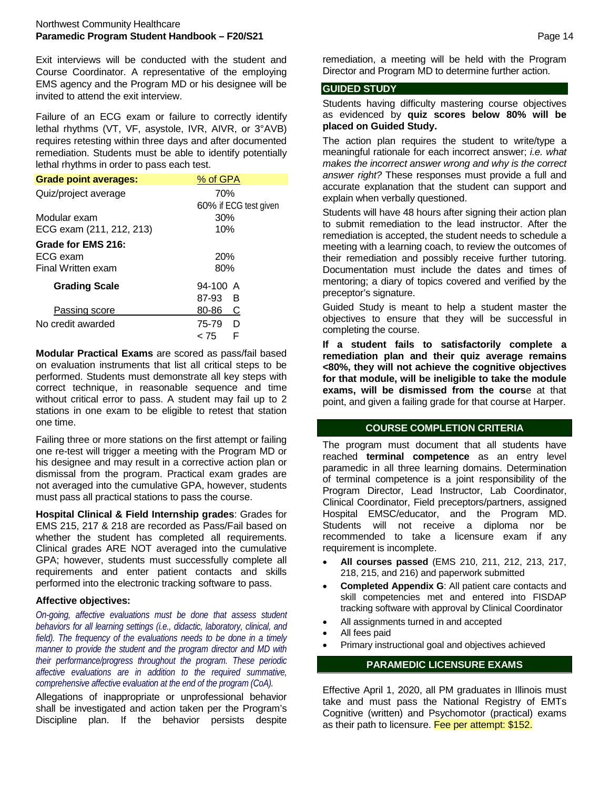Exit interviews will be conducted with the student and Course Coordinator. A representative of the employing EMS agency and the Program MD or his designee will be invited to attend the exit interview.

Failure of an ECG exam or failure to correctly identify lethal rhythms (VT, VF, asystole, IVR, AIVR, or 3°AVB) requires retesting within three days and after documented remediation. Students must be able to identify potentially lethal rhythms in order to pass each test.

| <b>Grade point averages:</b> | % of GPA              |  |
|------------------------------|-----------------------|--|
| Quiz/project average         | 70%                   |  |
|                              | 60% if ECG test given |  |
| Modular exam                 | 30%                   |  |
| ECG exam (211, 212, 213)     | 10%                   |  |
| Grade for EMS 216:           |                       |  |
| ECG exam                     | <b>20%</b>            |  |
| Final Written exam           | 80%                   |  |
| <b>Grading Scale</b>         | $94-100$ A            |  |
|                              | 87-93<br>B            |  |
| Passing score                | 80-86<br>С            |  |
| No credit awarded            | 75-79<br>D            |  |
|                              | F<br>< 75             |  |

**Modular Practical Exams** are scored as pass/fail based on evaluation instruments that list all critical steps to be performed. Students must demonstrate all key steps with correct technique, in reasonable sequence and time without critical error to pass. A student may fail up to 2 stations in one exam to be eligible to retest that station one time.

Failing three or more stations on the first attempt or failing one re-test will trigger a meeting with the Program MD or his designee and may result in a corrective action plan or dismissal from the program. Practical exam grades are not averaged into the cumulative GPA, however, students must pass all practical stations to pass the course.

**Hospital Clinical & Field Internship grades**: Grades for EMS 215, 217 & 218 are recorded as Pass/Fail based on whether the student has completed all requirements. Clinical grades ARE NOT averaged into the cumulative GPA; however, students must successfully complete all requirements and enter patient contacts and skills performed into the electronic tracking software to pass.

# **Affective objectives:**

*On-going, affective evaluations must be done that assess student behaviors for all learning settings (i.e., didactic, laboratory, clinical, and field). The frequency of the evaluations needs to be done in a timely manner to provide the student and the program director and MD with their performance/progress throughout the program. These periodic affective evaluations are in addition to the required summative, comprehensive affective evaluation at the end of the program (CoA).*

Allegations of inappropriate or unprofessional behavior shall be investigated and action taken per the Program's Discipline plan. If the behavior persists despite remediation, a meeting will be held with the Program Director and Program MD to determine further action.

# **GUIDED STUDY**

Students having difficulty mastering course objectives as evidenced by **quiz scores below 80% will be placed on Guided Study.**

The action plan requires the student to write/type a meaningful rationale for each incorrect answer; *i.e. what makes the incorrect answer wrong and why is the correct answer right?* These responses must provide a full and accurate explanation that the student can support and explain when verbally questioned.

Students will have 48 hours after signing their action plan to submit remediation to the lead instructor. After the remediation is accepted, the student needs to schedule a meeting with a learning coach, to review the outcomes of their remediation and possibly receive further tutoring. Documentation must include the dates and times of mentoring; a diary of topics covered and verified by the preceptor's signature.

Guided Study is meant to help a student master the objectives to ensure that they will be successful in completing the course.

**If a student fails to satisfactorily complete a remediation plan and their quiz average remains <80%, they will not achieve the cognitive objectives for that module, will be ineligible to take the module exams, will be dismissed from the cours**e at that point, and given a failing grade for that course at Harper.

# **COURSE COMPLETION CRITERIA**

The program must document that all students have reached **terminal competence** as an entry level paramedic in all three learning domains. Determination of terminal competence is a joint responsibility of the Program Director, Lead Instructor, Lab Coordinator, Clinical Coordinator, Field preceptors/partners, assigned Hospital EMSC/educator, and the Program MD. Students will not receive a diploma nor be recommended to take a licensure exam if any requirement is incomplete.

- **All courses passed** (EMS 210, 211, 212, 213, 217, 218, 215, and 216) and paperwork submitted
- **Completed Appendix G**: All patient care contacts and skill competencies met and entered into FISDAP tracking software with approval by Clinical Coordinator
- All assignments turned in and accepted
- All fees paid
- Primary instructional goal and objectives achieved

# **PARAMEDIC LICENSURE EXAMS**

Effective April 1, 2020, all PM graduates in Illinois must take and must pass the National Registry of EMTs Cognitive (written) and Psychomotor (practical) exams as their path to licensure. Fee per attempt: \$152.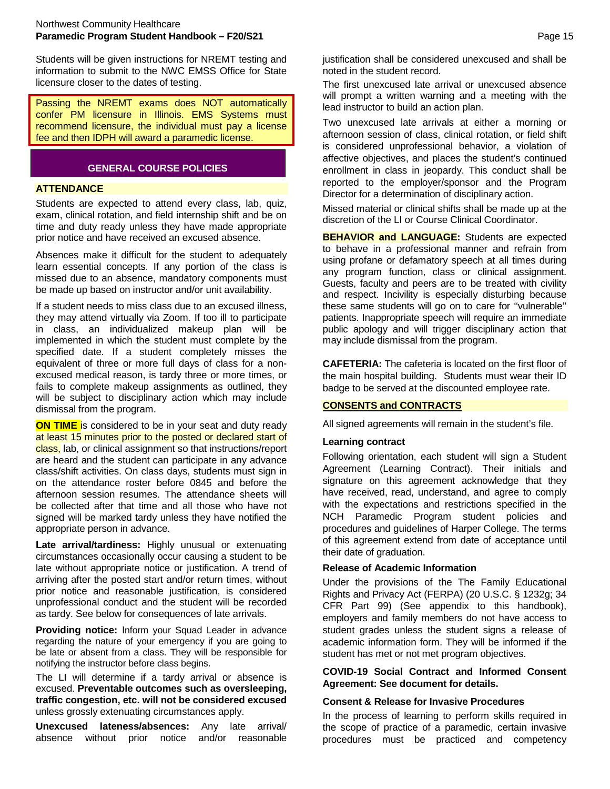Students will be given instructions for NREMT testing and information to submit to the NWC EMSS Office for State licensure closer to the dates of testing.

Passing the NREMT exams does NOT automatically confer PM licensure in Illinois. EMS Systems must recommend licensure, the individual must pay a license fee and then IDPH will award a paramedic license.

# **GENERAL COURSE POLICIES**

# **ATTENDANCE**

Students are expected to attend every class, lab, quiz, exam, clinical rotation, and field internship shift and be on time and duty ready unless they have made appropriate prior notice and have received an excused absence.

Absences make it difficult for the student to adequately learn essential concepts. If any portion of the class is missed due to an absence, mandatory components must be made up based on instructor and/or unit availability.

If a student needs to miss class due to an excused illness, they may attend virtually via Zoom. If too ill to participate in class, an individualized makeup plan will be implemented in which the student must complete by the specified date. If a student completely misses the equivalent of three or more full days of class for a nonexcused medical reason, is tardy three or more times, or fails to complete makeup assignments as outlined, they will be subject to disciplinary action which may include dismissal from the program.

**ON TIME** is considered to be in your seat and duty ready at least 15 minutes prior to the posted or declared start of class, lab, or clinical assignment so that instructions/report are heard and the student can participate in any advance class/shift activities. On class days, students must sign in on the attendance roster before 0845 and before the afternoon session resumes. The attendance sheets will be collected after that time and all those who have not signed will be marked tardy unless they have notified the appropriate person in advance.

**Late arrival/tardiness:** Highly unusual or extenuating circumstances occasionally occur causing a student to be late without appropriate notice or justification. A trend of arriving after the posted start and/or return times, without prior notice and reasonable justification, is considered unprofessional conduct and the student will be recorded as tardy. See below for consequences of late arrivals.

**Providing notice:** Inform your Squad Leader in advance regarding the nature of your emergency if you are going to be late or absent from a class. They will be responsible for notifying the instructor before class begins.

The LI will determine if a tardy arrival or absence is excused. **Preventable outcomes such as oversleeping, traffic congestion, etc. will not be considered excused** unless grossly extenuating circumstances apply.

**Unexcused lateness/absences:** Any late arrival/ absence without prior notice and/or reasonable justification shall be considered unexcused and shall be noted in the student record.

The first unexcused late arrival or unexcused absence will prompt a written warning and a meeting with the lead instructor to build an action plan.

Two unexcused late arrivals at either a morning or afternoon session of class, clinical rotation, or field shift is considered unprofessional behavior, a violation of affective objectives, and places the student's continued enrollment in class in jeopardy. This conduct shall be reported to the employer/sponsor and the Program Director for a determination of disciplinary action.

Missed material or clinical shifts shall be made up at the discretion of the LI or Course Clinical Coordinator.

**BEHAVIOR and LANGUAGE:** Students are expected to behave in a professional manner and refrain from using profane or defamatory speech at all times during any program function, class or clinical assignment. Guests, faculty and peers are to be treated with civility and respect. Incivility is especially disturbing because these same students will go on to care for ''vulnerable'' patients. Inappropriate speech will require an immediate public apology and will trigger disciplinary action that may include dismissal from the program.

**CAFETERIA:** The cafeteria is located on the first floor of the main hospital building. Students must wear their ID badge to be served at the discounted employee rate.

# **CONSENTS and CONTRACTS**

All signed agreements will remain in the student's file.

#### **Learning contract**

Following orientation, each student will sign a Student Agreement (Learning Contract). Their initials and signature on this agreement acknowledge that they have received, read, understand, and agree to comply with the expectations and restrictions specified in the NCH Paramedic Program student policies and procedures and guidelines of Harper College. The terms of this agreement extend from date of acceptance until their date of graduation.

# **Release of Academic Information**

Under the provisions of the The Family Educational Rights and Privacy Act (FERPA) (20 U.S.C. § 1232g; 34 CFR Part 99) (See appendix to this handbook), employers and family members do not have access to student grades unless the student signs a release of academic information form. They will be informed if the student has met or not met program objectives.

**COVID-19 Social Contract and Informed Consent Agreement: See document for details.**

# **Consent & Release for Invasive Procedures**

In the process of learning to perform skills required in the scope of practice of a paramedic, certain invasive procedures must be practiced and competency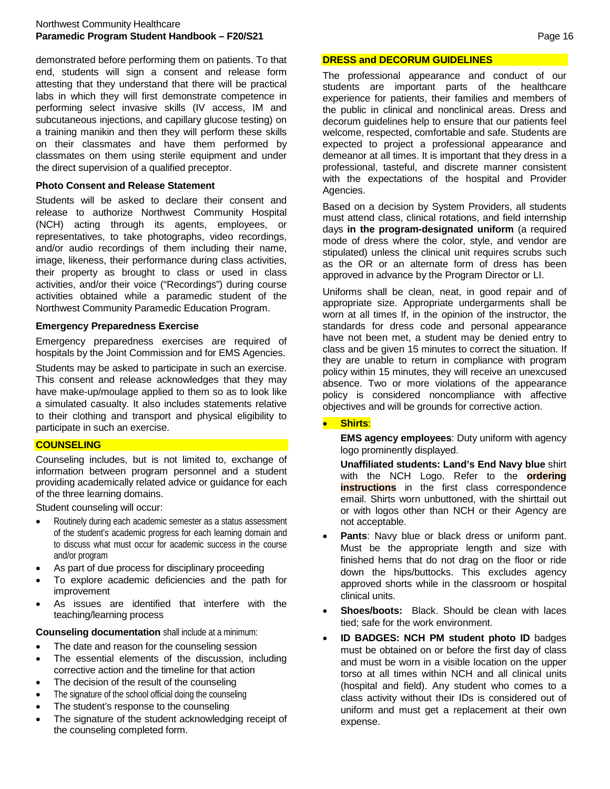# Northwest Community Healthcare **Paramedic Program Student Handbook – F20/S21** Page 16

demonstrated before performing them on patients. To that end, students will sign a consent and release form attesting that they understand that there will be practical labs in which they will first demonstrate competence in performing select invasive skills (IV access, IM and subcutaneous injections, and capillary glucose testing) on a training manikin and then they will perform these skills on their classmates and have them performed by classmates on them using sterile equipment and under the direct supervision of a qualified preceptor.

# **Photo Consent and Release Statement**

Students will be asked to declare their consent and release to authorize Northwest Community Hospital (NCH) acting through its agents, employees, or representatives, to take photographs, video recordings, and/or audio recordings of them including their name, image, likeness, their performance during class activities, their property as brought to class or used in class activities, and/or their voice ("Recordings") during course activities obtained while a paramedic student of the Northwest Community Paramedic Education Program.

# **Emergency Preparedness Exercise**

Emergency preparedness exercises are required of hospitals by the Joint Commission and for EMS Agencies.

Students may be asked to participate in such an exercise. This consent and release acknowledges that they may have make-up/moulage applied to them so as to look like a simulated casualty. It also includes statements relative to their clothing and transport and physical eligibility to participate in such an exercise.

# **COUNSELING**

Counseling includes, but is not limited to, exchange of information between program personnel and a student providing academically related advice or guidance for each of the three learning domains.

Student counseling will occur:

- Routinely during each academic semester as a status assessment of the student's academic progress for each learning domain and to discuss what must occur for academic success in the course and/or program
- As part of due process for disciplinary proceeding
- To explore academic deficiencies and the path for improvement
- As issues are identified that interfere with the teaching/learning process

**Counseling documentation** shall include at a minimum:

- The date and reason for the counseling session
- The essential elements of the discussion, including corrective action and the timeline for that action
- The decision of the result of the counseling
- The signature of the school official doing the counseling
- The student's response to the counseling
- The signature of the student acknowledging receipt of the counseling completed form.

# **DRESS and DECORUM GUIDELINES**

The professional appearance and conduct of our students are important parts of the healthcare experience for patients, their families and members of the public in clinical and nonclinical areas. Dress and decorum guidelines help to ensure that our patients feel welcome, respected, comfortable and safe. Students are expected to project a professional appearance and demeanor at all times. It is important that they dress in a professional, tasteful, and discrete manner consistent with the expectations of the hospital and Provider Agencies.

Based on a decision by System Providers, all students must attend class, clinical rotations, and field internship days **in the program-designated uniform** (a required mode of dress where the color, style, and vendor are stipulated) unless the clinical unit requires scrubs such as the OR or an alternate form of dress has been approved in advance by the Program Director or LI.

Uniforms shall be clean, neat, in good repair and of appropriate size. Appropriate undergarments shall be worn at all times If, in the opinion of the instructor, the standards for dress code and personal appearance have not been met, a student may be denied entry to class and be given 15 minutes to correct the situation. If they are unable to return in compliance with program policy within 15 minutes, they will receive an unexcused absence. Two or more violations of the appearance policy is considered noncompliance with affective objectives and will be grounds for corrective action.

# • **Shirts**:

**EMS agency employees**: Duty uniform with agency logo prominently displayed.

**Unaffiliated students: Land's End Navy blue** shirt with the NCH Logo. Refer to the **ordering instructions** in the first class correspondence email. Shirts worn unbuttoned, with the shirttail out or with logos other than NCH or their Agency are not acceptable.

- Pants: Navy blue or black dress or uniform pant. Must be the appropriate length and size with finished hems that do not drag on the floor or ride down the hips/buttocks. This excludes agency approved shorts while in the classroom or hospital clinical units.
- **Shoes/boots:** Black, Should be clean with laces tied; safe for the work environment.
- **ID BADGES: NCH PM student photo ID** badges must be obtained on or before the first day of class and must be worn in a visible location on the upper torso at all times within NCH and all clinical units (hospital and field). Any student who comes to a class activity without their IDs is considered out of uniform and must get a replacement at their own expense.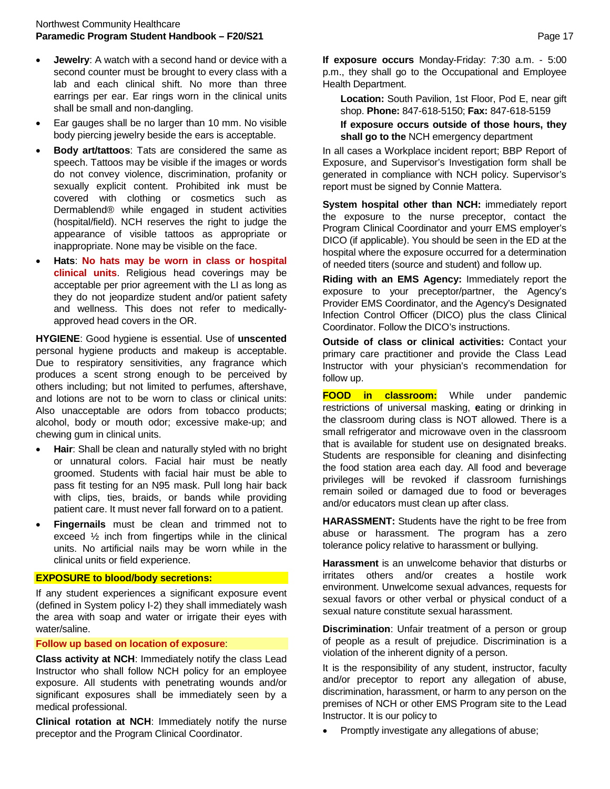- **Jewelry:** A watch with a second hand or device with a second counter must be brought to every class with a lab and each clinical shift. No more than three earrings per ear. Ear rings worn in the clinical units shall be small and non-dangling.
- Ear gauges shall be no larger than 10 mm. No visible body piercing jewelry beside the ears is acceptable.
- **Body art/tattoos**: Tats are considered the same as speech. Tattoos may be visible if the images or words do not convey violence, discrimination, profanity or sexually explicit content. Prohibited ink must be covered with clothing or cosmetics such as Dermablend® while engaged in student activities (hospital/field). NCH reserves the right to judge the appearance of visible tattoos as appropriate or inappropriate. None may be visible on the face.
- **Hats**: **No hats may be worn in class or hospital clinical units**. Religious head coverings may be acceptable per prior agreement with the LI as long as they do not jeopardize student and/or patient safety and wellness. This does not refer to medicallyapproved head covers in the OR.

**HYGIENE**: Good hygiene is essential. Use of **unscented** personal hygiene products and makeup is acceptable. Due to respiratory sensitivities, any fragrance which produces a scent strong enough to be perceived by others including; but not limited to perfumes, aftershave, and lotions are not to be worn to class or clinical units: Also unacceptable are odors from tobacco products; alcohol, body or mouth odor; excessive make-up; and chewing gum in clinical units.

- **Hair**: Shall be clean and naturally styled with no bright or unnatural colors. Facial hair must be neatly groomed. Students with facial hair must be able to pass fit testing for an N95 mask. Pull long hair back with clips, ties, braids, or bands while providing patient care. It must never fall forward on to a patient.
- **Fingernails** must be clean and trimmed not to exceed ½ inch from fingertips while in the clinical units. No artificial nails may be worn while in the clinical units or field experience.

#### **EXPOSURE to blood/body secretions:**

If any student experiences a significant exposure event (defined in System policy I-2) they shall immediately wash the area with soap and water or irrigate their eyes with water/saline.

#### **Follow up based on location of exposure**:

**Class activity at NCH**: Immediately notify the class Lead Instructor who shall follow NCH policy for an employee exposure. All students with penetrating wounds and/or significant exposures shall be immediately seen by a medical professional.

**Clinical rotation at NCH**: Immediately notify the nurse preceptor and the Program Clinical Coordinator.

**If exposure occurs** Monday-Friday: 7:30 a.m. - 5:00 p.m., they shall go to the Occupational and Employee Health Department.

**Location:** South Pavilion, 1st Floor, Pod E, near gift shop. **Phone:** 847-618-5150; **Fax:** 847-618-5159

# **If exposure occurs outside of those hours, they shall go to the** NCH emergency department

In all cases a Workplace incident report; BBP Report of Exposure, and Supervisor's Investigation form shall be generated in compliance with NCH policy. Supervisor's report must be signed by Connie Mattera.

**System hospital other than NCH:** immediately report the exposure to the nurse preceptor, contact the Program Clinical Coordinator and yourr EMS employer's DICO (if applicable). You should be seen in the ED at the hospital where the exposure occurred for a determination of needed titers (source and student) and follow up.

**Riding with an EMS Agency:** Immediately report the exposure to your preceptor/partner, the Agency's Provider EMS Coordinator, and the Agency's Designated Infection Control Officer (DICO) plus the class Clinical Coordinator. Follow the DICO's instructions.

**Outside of class or clinical activities:** Contact your primary care practitioner and provide the Class Lead Instructor with your physician's recommendation for follow up.

**FOOD in classroom:** While under pandemic restrictions of universal masking, **e**ating or drinking in the classroom during class is NOT allowed. There is a small refrigerator and microwave oven in the classroom that is available for student use on designated breaks. Students are responsible for cleaning and disinfecting the food station area each day. All food and beverage privileges will be revoked if classroom furnishings remain soiled or damaged due to food or beverages and/or educators must clean up after class.

**HARASSMENT:** Students have the right to be free from abuse or harassment. The program has a zero tolerance policy relative to harassment or bullying.

**Harassment** is an unwelcome behavior that disturbs or irritates others and/or creates a hostile work environment. Unwelcome sexual advances, requests for sexual favors or other verbal or physical conduct of a sexual nature constitute sexual harassment.

**Discrimination**: Unfair treatment of a person or group of people as a result of prejudice. Discrimination is a violation of the inherent dignity of a person.

It is the responsibility of any student, instructor, faculty and/or preceptor to report any allegation of abuse, discrimination, harassment, or harm to any person on the premises of NCH or other EMS Program site to the Lead Instructor. It is our policy to

• Promptly investigate any allegations of abuse;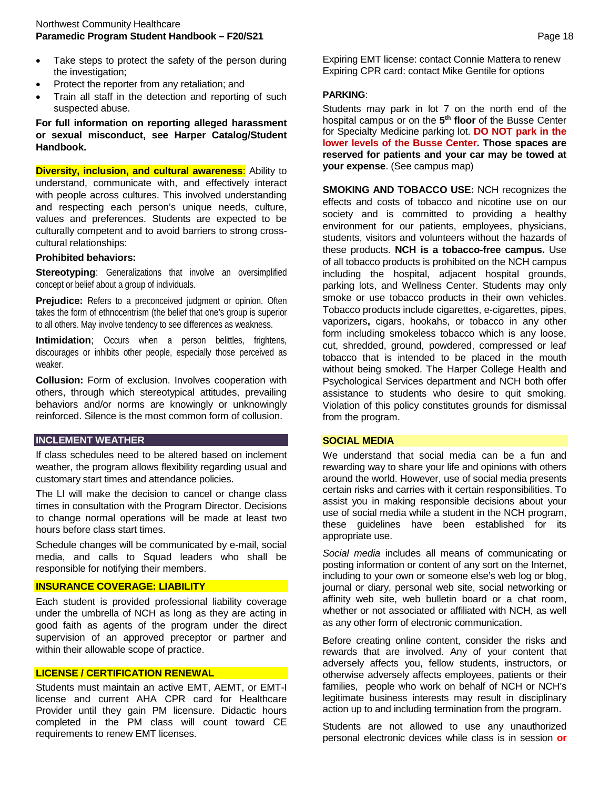- Take steps to protect the safety of the person during the investigation;
- Protect the reporter from any retaliation; and
- Train all staff in the detection and reporting of such suspected abuse.

**For full information on reporting alleged harassment or sexual misconduct, see Harper Catalog/Student Handbook.**

**Diversity, inclusion, and cultural awareness:** Ability to understand, communicate with, and effectively interact with people across cultures. This involved understanding and respecting each person's unique needs, culture, values and preferences. Students are expected to be culturally competent and to avoid barriers to strong crosscultural relationships:

#### **Prohibited behaviors:**

**Stereotyping:** Generalizations that involve an oversimplified concept or belief about a group of individuals.

**Prejudice:** Refers to a preconceived judgment or opinion. Often takes the form of ethnocentrism (the belief that one's group is superior to all others. May involve tendency to see differences as weakness.

**Intimidation**; Occurs when a person belittles, frightens, discourages or inhibits other people, especially those perceived as weaker.

**Collusion:** Form of exclusion. Involves cooperation with others, through which stereotypical attitudes, prevailing behaviors and/or norms are knowingly or unknowingly reinforced. Silence is the most common form of collusion.

# **INCLEMENT WEATHER**

If class schedules need to be altered based on inclement weather, the program allows flexibility regarding usual and customary start times and attendance policies.

The LI will make the decision to cancel or change class times in consultation with the Program Director. Decisions to change normal operations will be made at least two hours before class start times.

Schedule changes will be communicated by e-mail, social media, and calls to Squad leaders who shall be responsible for notifying their members.

#### **INSURANCE COVERAGE: LIABILITY**

Each student is provided professional liability coverage under the umbrella of NCH as long as they are acting in good faith as agents of the program under the direct supervision of an approved preceptor or partner and within their allowable scope of practice.

#### **LICENSE / CERTIFICATION RENEWAL**

Students must maintain an active EMT, AEMT, or EMT-I license and current AHA CPR card for Healthcare Provider until they gain PM licensure. Didactic hours completed in the PM class will count toward CE requirements to renew EMT licenses.

Expiring EMT license: contact Connie Mattera to renew Expiring CPR card: contact Mike Gentile for options

#### **PARKING**:

Students may park in lot 7 on the north end of the hospital campus or on the **5th floor** of the Busse Center for Specialty Medicine parking lot. **DO NOT park in the lower levels of the Busse Center. Those spaces are reserved for patients and your car may be towed at your expense**. (See campus map)

**SMOKING AND TOBACCO USE:** NCH recognizes the effects and costs of tobacco and nicotine use on our society and is committed to providing a healthy environment for our patients, employees, physicians, students, visitors and volunteers without the hazards of these products. **NCH is a tobacco-free campus.** Use of all tobacco products is prohibited on the NCH campus including the hospital, adjacent hospital grounds, parking lots, and Wellness Center. Students may only smoke or use tobacco products in their own vehicles. Tobacco products include cigarettes, e-cigarettes, pipes, vaporizers**,** cigars, hookahs, or tobacco in any other form including smokeless tobacco which is any loose, cut, shredded, ground, powdered, compressed or leaf tobacco that is intended to be placed in the mouth without being smoked. The Harper College Health and Psychological Services department and NCH both offer assistance to students who desire to quit smoking. Violation of this policy constitutes grounds for dismissal from the program.

#### **SOCIAL MEDIA**

We understand that social media can be a fun and rewarding way to share your life and opinions with others around the world. However, use of social media presents certain risks and carries with it certain responsibilities. To assist you in making responsible decisions about your use of social media while a student in the NCH program, these guidelines have been established for its appropriate use.

*Social media* includes all means of communicating or posting information or content of any sort on the Internet, including to your own or someone else's web log or blog, journal or diary, personal web site, social networking or affinity web site, web bulletin board or a chat room, whether or not associated or affiliated with NCH, as well as any other form of electronic communication.

Before creating online content, consider the risks and rewards that are involved. Any of your content that adversely affects you, fellow students, instructors, or otherwise adversely affects employees, patients or their families, people who work on behalf of NCH or NCH's legitimate business interests may result in disciplinary action up to and including termination from the program.

Students are not allowed to use any unauthorized personal electronic devices while class is in session **or**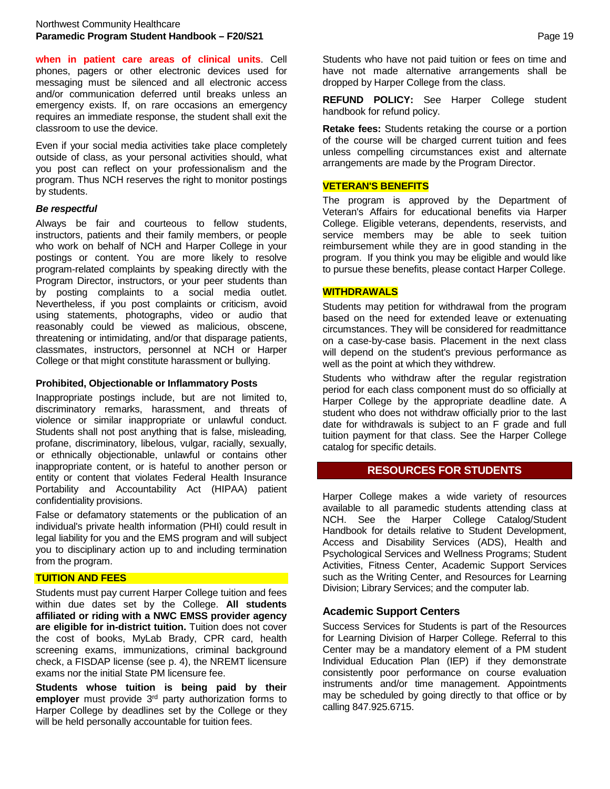**when in patient care areas of clinical units**. Cell phones, pagers or other electronic devices used for messaging must be silenced and all electronic access and/or communication deferred until breaks unless an emergency exists. If, on rare occasions an emergency requires an immediate response, the student shall exit the classroom to use the device.

Even if your social media activities take place completely outside of class, as your personal activities should, what you post can reflect on your professionalism and the program. Thus NCH reserves the right to monitor postings by students.

#### *Be respectful*

Always be fair and courteous to fellow students, instructors, patients and their family members, or people who work on behalf of NCH and Harper College in your postings or content. You are more likely to resolve program-related complaints by speaking directly with the Program Director, instructors, or your peer students than by posting complaints to a social media outlet. Nevertheless, if you post complaints or criticism, avoid using statements, photographs, video or audio that reasonably could be viewed as malicious, obscene, threatening or intimidating, and/or that disparage patients, classmates, instructors, personnel at NCH or Harper College or that might constitute harassment or bullying.

# **Prohibited, Objectionable or Inflammatory Posts**

Inappropriate postings include, but are not limited to, discriminatory remarks, harassment, and threats of violence or similar inappropriate or unlawful conduct. Students shall not post anything that is false, misleading*,* profane, discriminatory, libelous, vulgar, racially, sexually, or ethnically objectionable, unlawful or contains other inappropriate content, or is hateful to another person or entity or content that violates Federal Health Insurance Portability and Accountability Act (HIPAA) patient confidentiality provisions.

False or defamatory statements or the publication of an individual's private health information (PHI) could result in legal liability for you and the EMS program and will subject you to disciplinary action up to and including termination from the program.

#### **TUITION AND FEES**

Students must pay current Harper College tuition and fees within due dates set by the College. **All students affiliated or riding with a NWC EMSS provider agency are eligible for in-district tuition.** Tuition does not cover the cost of books, MyLab Brady, CPR card, health screening exams, immunizations, criminal background check, a FISDAP license (see p. 4), the NREMT licensure exams nor the initial State PM licensure fee.

**Students whose tuition is being paid by their**  employer must provide 3<sup>rd</sup> party authorization forms to Harper College by deadlines set by the College or they will be held personally accountable for tuition fees.

Students who have not paid tuition or fees on time and have not made alternative arrangements shall be dropped by Harper College from the class.

**REFUND POLICY:** See Harper College student handbook for refund policy.

**Retake fees:** Students retaking the course or a portion of the course will be charged current tuition and fees unless compelling circumstances exist and alternate arrangements are made by the Program Director.

# **VETERAN'S BENEFITS**

The program is approved by the Department of Veteran's Affairs for educational benefits via Harper College. Eligible veterans, dependents, reservists, and service members may be able to seek tuition reimbursement while they are in good standing in the program. If you think you may be eligible and would like to pursue these benefits, please contact Harper College.

# **WITHDRAWALS**

Students may petition for withdrawal from the program based on the need for extended leave or extenuating circumstances. They will be considered for readmittance on a case-by-case basis. Placement in the next class will depend on the student's previous performance as well as the point at which they withdrew.

Students who withdraw after the regular registration period for each class component must do so officially at Harper College by the appropriate deadline date. A student who does not withdraw officially prior to the last date for withdrawals is subject to an F grade and full tuition payment for that class. See the Harper College catalog for specific details.

# **RESOURCES FOR STUDENTS**

Harper College makes a wide variety of resources available to all paramedic students attending class at NCH. See the Harper College Catalog/Student Handbook for details relative to Student Development, Access and Disability Services (ADS), Health and Psychological Services and Wellness Programs; Student Activities, Fitness Center, Academic Support Services such as the Writing Center, and Resources for Learning Division; Library Services; and the computer lab.

# **Academic Support Centers**

Success Services for Students is part of the Resources for Learning Division of Harper College. Referral to this Center may be a mandatory element of a PM student Individual Education Plan (IEP) if they demonstrate consistently poor performance on course evaluation instruments and/or time management. Appointments may be scheduled by going directly to that office or by calling 847.925.6715.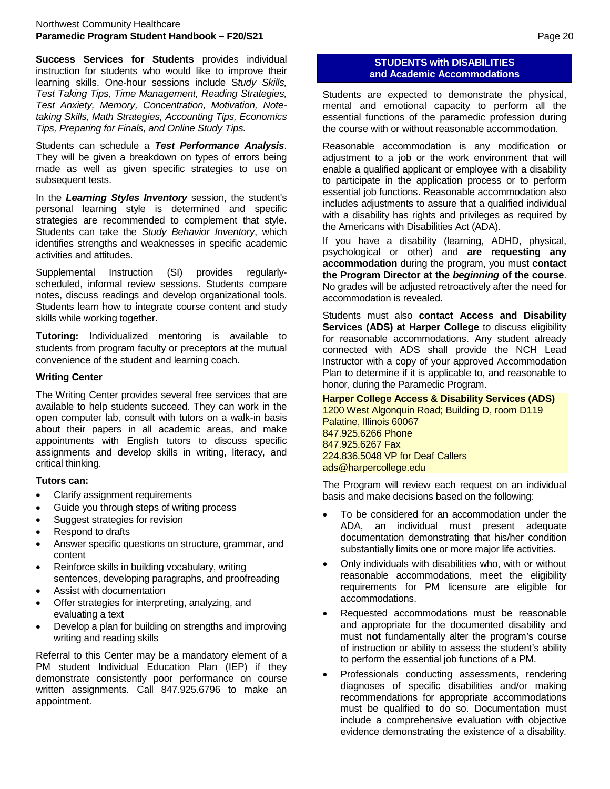#### Northwest Community Healthcare **Paramedic Program Student Handbook – F20/S21** Page 20

**Success Services for Students** provides individual instruction for students who would like to improve their learning skills. One-hour sessions include S*tudy Skills, Test Taking Tips, Time Management, Reading Strategies, Test Anxiety, Memory, Concentration, Motivation, Notetaking Skills, Math Strategies, Accounting Tips, Economics Tips, Preparing for Finals, and Online Study Tips.*

Students can schedule a *Test Performance Analysis*. They will be given a breakdown on types of errors being made as well as given specific strategies to use on subsequent tests.

In the *Learning Styles Inventory* session, the student's personal learning style is determined and specific strategies are recommended to complement that style. Students can take the *Study Behavior Inventory*, which identifies strengths and weaknesses in specific academic activities and attitudes.

Supplemental Instruction (SI) provides regularlyscheduled, informal review sessions. Students compare notes, discuss readings and develop organizational tools. Students learn how to integrate course content and study skills while working together.

**Tutoring:** Individualized mentoring is available to students from program faculty or preceptors at the mutual convenience of the student and learning coach.

# **Writing Center**

The Writing Center provides several free services that are available to help students succeed. They can work in the open computer lab, consult with tutors on a walk-in basis about their papers in all academic areas, and make appointments with English tutors to discuss specific assignments and develop skills in writing, literacy, and critical thinking.

#### **Tutors can:**

- Clarify assignment requirements
- Guide you through steps of writing process
- Suggest strategies for revision
- Respond to drafts
- Answer specific questions on structure, grammar, and content
- Reinforce skills in building vocabulary, writing sentences, developing paragraphs, and proofreading
- Assist with documentation
- Offer strategies for interpreting, analyzing, and evaluating a text
- Develop a plan for building on strengths and improving writing and reading skills

Referral to this Center may be a mandatory element of a PM student Individual Education Plan (IEP) if they demonstrate consistently poor performance on course written assignments. Call 847.925.6796 to make an appointment.

# **STUDENTS with DISABILITIES and Academic Accommodations**

Students are expected to demonstrate the physical, mental and emotional capacity to perform all the essential functions of the paramedic profession during the course with or without reasonable accommodation.

Reasonable accommodation is any modification or adjustment to a job or the work environment that will enable a qualified applicant or employee with a disability to participate in the application process or to perform essential job functions. Reasonable accommodation also includes adjustments to assure that a qualified individual with a disability has rights and privileges as required by the Americans with Disabilities Act (ADA).

If you have a disability (learning, ADHD, physical, psychological or other) and **are requesting any accommodation** during the program, you must **contact the Program Director at the** *beginning* **of the course**. No grades will be adjusted retroactively after the need for accommodation is revealed.

Students must also **contact Access and Disability Services (ADS) at Harper College** to discuss eligibility for reasonable accommodations. Any student already connected with ADS shall provide the NCH Lead Instructor with a copy of your approved Accommodation Plan to determine if it is applicable to, and reasonable to honor, during the Paramedic Program.

**Harper College Access & Disability Services (ADS)** 1200 West Algonquin Road; Building D, room D119 Palatine, Illinois 60067 847.925.6266 Phone 847.925.6267 Fax 224.836.5048 VP for Deaf Callers ads@harpercollege.edu

The Program will review each request on an individual basis and make decisions based on the following:

- To be considered for an accommodation under the ADA, an individual must present adequate documentation demonstrating that his/her condition substantially limits one or more major life activities.
- Only individuals with disabilities who, with or without reasonable accommodations, meet the eligibility requirements for PM licensure are eligible for accommodations.
- Requested accommodations must be reasonable and appropriate for the documented disability and must **not** fundamentally alter the program's course of instruction or ability to assess the student's ability to perform the essential job functions of a PM.
- Professionals conducting assessments, rendering diagnoses of specific disabilities and/or making recommendations for appropriate accommodations must be qualified to do so. Documentation must include a comprehensive evaluation with objective evidence demonstrating the existence of a disability.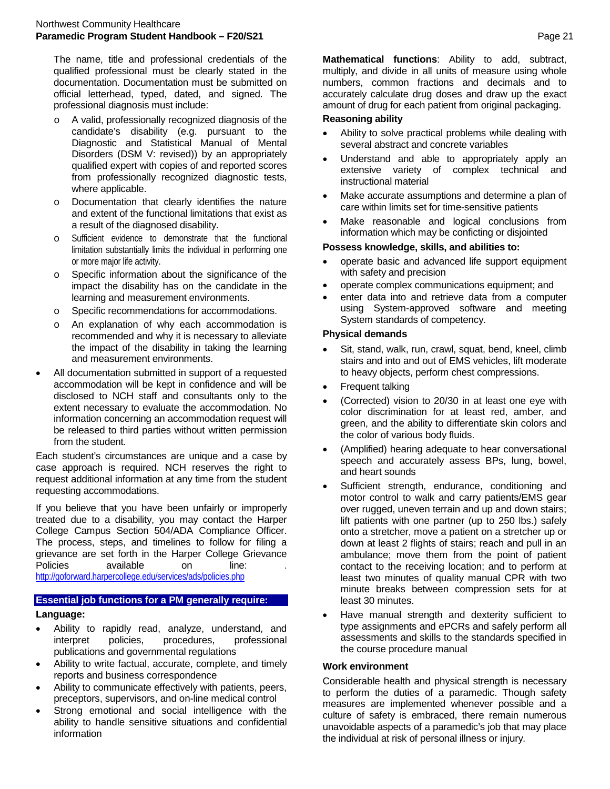The name, title and professional credentials of the qualified professional must be clearly stated in the documentation. Documentation must be submitted on official letterhead, typed, dated, and signed. The professional diagnosis must include:

- o A valid, professionally recognized diagnosis of the candidate's disability (e.g. pursuant to the Diagnostic and Statistical Manual of Mental Disorders (DSM V: revised)) by an appropriately qualified expert with copies of and reported scores from professionally recognized diagnostic tests, where applicable.
- Documentation that clearly identifies the nature and extent of the functional limitations that exist as a result of the diagnosed disability.
- o Sufficient evidence to demonstrate that the functional limitation substantially limits the individual in performing one or more major life activity.
- o Specific information about the significance of the impact the disability has on the candidate in the learning and measurement environments.
- o Specific recommendations for accommodations.
- o An explanation of why each accommodation is recommended and why it is necessary to alleviate the impact of the disability in taking the learning and measurement environments.
- All documentation submitted in support of a requested accommodation will be kept in confidence and will be disclosed to NCH staff and consultants only to the extent necessary to evaluate the accommodation. No information concerning an accommodation request will be released to third parties without written permission from the student.

Each student's circumstances are unique and a case by case approach is required. NCH reserves the right to request additional information at any time from the student requesting accommodations.

If you believe that you have been unfairly or improperly treated due to a disability, you may contact the Harper College Campus Section 504/ADA Compliance Officer. The process, steps, and timelines to follow for filing a grievance are set forth in the Harper College Grievance Policies available on line: <http://goforward.harpercollege.edu/services/ads/policies.php>

# **Essential job functions for a PM generally require: Language:**

- Ability to rapidly read, analyze, understand, and procedures, publications and governmental regulations
- Ability to write factual, accurate, complete, and timely reports and business correspondence
- Ability to communicate effectively with patients, peers, preceptors, supervisors, and on-line medical control
- Strong emotional and social intelligence with the ability to handle sensitive situations and confidential information

**Mathematical functions**: Ability to add, subtract, multiply, and divide in all units of measure using whole numbers, common fractions and decimals and to accurately calculate drug doses and draw up the exact amount of drug for each patient from original packaging.

# **Reasoning ability**

- Ability to solve practical problems while dealing with several abstract and concrete variables
- Understand and able to appropriately apply an extensive variety of complex technical and instructional material
- Make accurate assumptions and determine a plan of care within limits set for time-sensitive patients
- Make reasonable and logical conclusions from information which may be conficting or disjointed

# **Possess knowledge, skills, and abilities to:**

- operate basic and advanced life support equipment with safety and precision
- operate complex communications equipment; and
- enter data into and retrieve data from a computer using System-approved software and meeting System standards of competency.

# **Physical demands**

- Sit, stand, walk, run, crawl, squat, bend, kneel, climb stairs and into and out of EMS vehicles, lift moderate to heavy objects, perform chest compressions.
- Frequent talking
- (Corrected) vision to 20/30 in at least one eye with color discrimination for at least red, amber, and green, and the ability to differentiate skin colors and the color of various body fluids.
- (Amplified) hearing adequate to hear conversational speech and accurately assess BPs, lung, bowel, and heart sounds
- Sufficient strength, endurance, conditioning and motor control to walk and carry patients/EMS gear over rugged, uneven terrain and up and down stairs; lift patients with one partner (up to 250 lbs.) safely onto a stretcher, move a patient on a stretcher up or down at least 2 flights of stairs; reach and pull in an ambulance; move them from the point of patient contact to the receiving location; and to perform at least two minutes of quality manual CPR with two minute breaks between compression sets for at least 30 minutes.
- Have manual strength and dexterity sufficient to type assignments and ePCRs and safely perform all assessments and skills to the standards specified in the course procedure manual

# **Work environment**

Considerable health and physical strength is necessary to perform the duties of a paramedic. Though safety measures are implemented whenever possible and a culture of safety is embraced, there remain numerous unavoidable aspects of a paramedic's job that may place the individual at risk of personal illness or injury.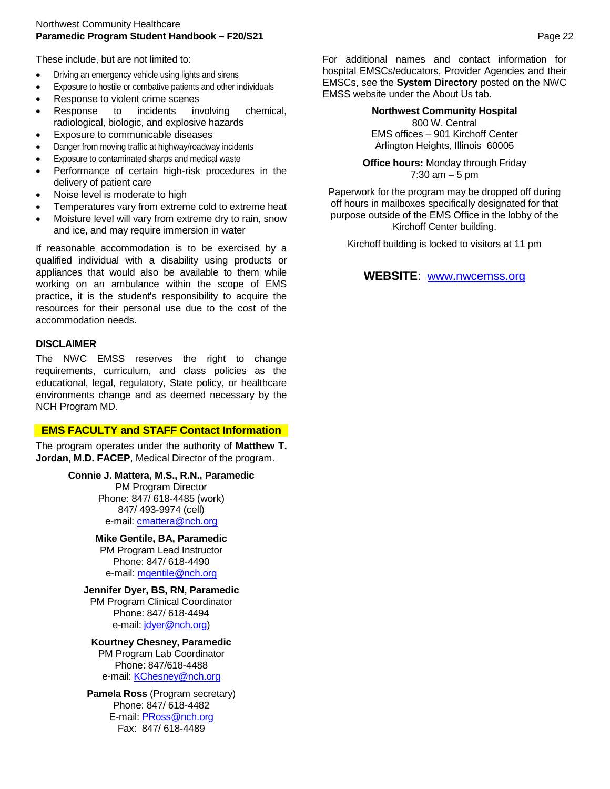#### Northwest Community Healthcare **Paramedic Program Student Handbook – F20/S21** Page 22

These include, but are not limited to:

- Driving an emergency vehicle using lights and sirens
- Exposure to hostile or combative patients and other individuals
- Response to violent crime scenes
- Response to incidents involving chemical, radiological, biologic, and explosive hazards
- Exposure to communicable diseases
- Danger from moving traffic at highway/roadway incidents
- Exposure to contaminated sharps and medical waste
- Performance of certain high-risk procedures in the delivery of patient care
- Noise level is moderate to high
- Temperatures vary from extreme cold to extreme heat
- Moisture level will vary from extreme dry to rain, snow and ice, and may require immersion in water

If reasonable accommodation is to be exercised by a qualified individual with a disability using products or appliances that would also be available to them while working on an ambulance within the scope of EMS practice, it is the student's responsibility to acquire the resources for their personal use due to the cost of the accommodation needs.

# **DISCLAIMER**

The NWC EMSS reserves the right to change requirements, curriculum, and class policies as the educational, legal, regulatory, State policy, or healthcare environments change and as deemed necessary by the NCH Program MD.

# **EMS FACULTY and STAFF Contact Information**

The program operates under the authority of **Matthew T. Jordan, M.D. FACEP**, Medical Director of the program.

> **Connie J. Mattera, M.S., R.N., Paramedic** PM Program Director Phone: 847/ 618-4485 (work) 847/ 493-9974 (cell) e-mail: [cmattera@nch.org](mailto:cmattera@nch.org)

> > **Mike Gentile, BA, Paramedic** PM Program Lead Instructor Phone: 847/ 618-4490 e-mail: [mgentile@nch.org](mailto:mgentile@nch.org)

**Jennifer Dyer, BS, RN, Paramedic** PM Program Clinical Coordinator Phone: 847/ 618-4494 e-mail[: jdyer@nch.org\)](mailto:jdyer@nch.org)

**Kourtney Chesney, Paramedic**  PM Program Lab Coordinator Phone: 847/618-4488 e-mail: [KChesney@nch.org](mailto:KChesney@nch.org)

**Pamela Ross** (Program secretary) Phone: 847/ 618-4482 E-mail[: PRoss@nch.org](mailto:PRoss@nch.org) Fax: 847/ 618-4489

For additional names and contact information for hospital EMSCs/educators, Provider Agencies and their EMSCs, see the **System Directory** posted on the NWC EMSS website under the About Us tab.

#### **Northwest Community Hospital** 800 W. Central EMS offices – 901 Kirchoff Center Arlington Heights, Illinois 60005

**Office hours:** Monday through Friday 7:30  $am - 5 pm$ 

Paperwork for the program may be dropped off during off hours in mailboxes specifically designated for that purpose outside of the EMS Office in the lobby of the Kirchoff Center building.

Kirchoff building is locked to visitors at 11 pm

# **WEBSITE**: [www.nwcemss.org](http://www.nwcemss.org/)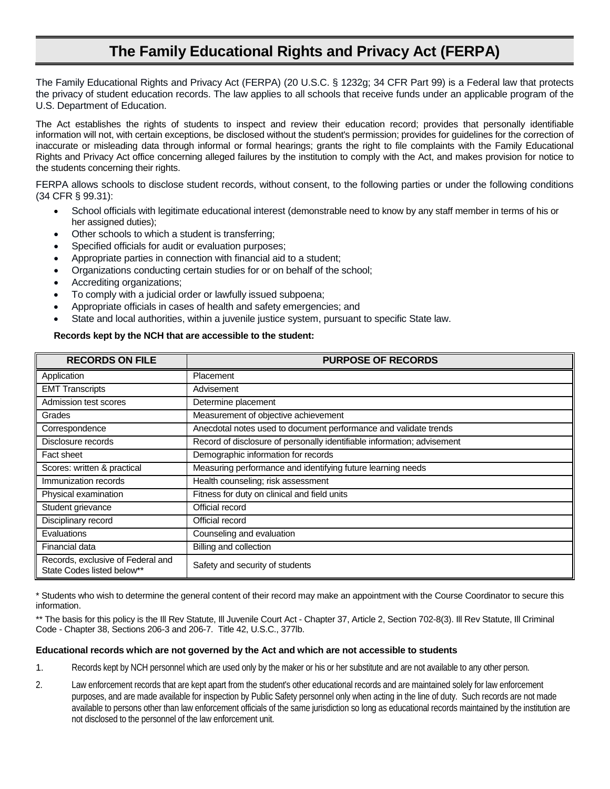# **The Family Educational Rights and Privacy Act (FERPA)**

The Family Educational Rights and Privacy Act (FERPA) (20 U.S.C. § 1232g; 34 CFR Part 99) is a Federal law that protects the privacy of student education records. The law applies to all schools that receive funds under an applicable program of the U.S. Department of Education.

The Act establishes the rights of students to inspect and review their education record; provides that personally identifiable information will not, with certain exceptions, be disclosed without the student's permission; provides for guidelines for the correction of inaccurate or misleading data through informal or formal hearings; grants the right to file complaints with the Family Educational Rights and Privacy Act office concerning alleged failures by the institution to comply with the Act, and makes provision for notice to the students concerning their rights.

FERPA allows schools to disclose student records, without consent, to the following parties or under the following conditions (34 CFR § 99.31):

- School officials with legitimate educational interest (demonstrable need to know by any staff member in terms of his or her assigned duties);
- Other schools to which a student is transferring;
- Specified officials for audit or evaluation purposes;
- Appropriate parties in connection with financial aid to a student;
- Organizations conducting certain studies for or on behalf of the school;
- Accrediting organizations;
- To comply with a judicial order or lawfully issued subpoena;
- Appropriate officials in cases of health and safety emergencies; and
- State and local authorities, within a juvenile justice system, pursuant to specific State law.

#### **Records kept by the NCH that are accessible to the student:**

| <b>RECORDS ON FILE</b>                                          | <b>PURPOSE OF RECORDS</b>                                               |
|-----------------------------------------------------------------|-------------------------------------------------------------------------|
| Application                                                     | Placement                                                               |
| <b>EMT Transcripts</b>                                          | Advisement                                                              |
| Admission test scores                                           | Determine placement                                                     |
| Grades                                                          | Measurement of objective achievement                                    |
| Correspondence                                                  | Anecdotal notes used to document performance and validate trends        |
| Disclosure records                                              | Record of disclosure of personally identifiable information; advisement |
| Fact sheet                                                      | Demographic information for records                                     |
| Scores: written & practical                                     | Measuring performance and identifying future learning needs             |
| Immunization records                                            | Health counseling; risk assessment                                      |
| Physical examination                                            | Fitness for duty on clinical and field units                            |
| Student grievance                                               | Official record                                                         |
| Disciplinary record                                             | Official record                                                         |
| Evaluations                                                     | Counseling and evaluation                                               |
| Financial data                                                  | Billing and collection                                                  |
| Records, exclusive of Federal and<br>State Codes listed below** | Safety and security of students                                         |

\* Students who wish to determine the general content of their record may make an appointment with the Course Coordinator to secure this information.

\*\* The basis for this policy is the III Rev Statute, III Juvenile Court Act - Chapter 37, Article 2, Section 702-8(3). III Rev Statute, III Criminal Code - Chapter 38, Sections 206-3 and 206-7. Title 42, U.S.C., 377lb.

#### **Educational records which are not governed by the Act and which are not accessible to students**

- 1. Records kept by NCH personnel which are used only by the maker or his or her substitute and are not available to any other person.
- 2. Law enforcement records that are kept apart from the student's other educational records and are maintained solely for law enforcement purposes, and are made available for inspection by Public Safety personnel only when acting in the line of duty. Such records are not made available to persons other than law enforcement officials of the same jurisdiction so long as educational records maintained by the institution are not disclosed to the personnel of the law enforcement unit.